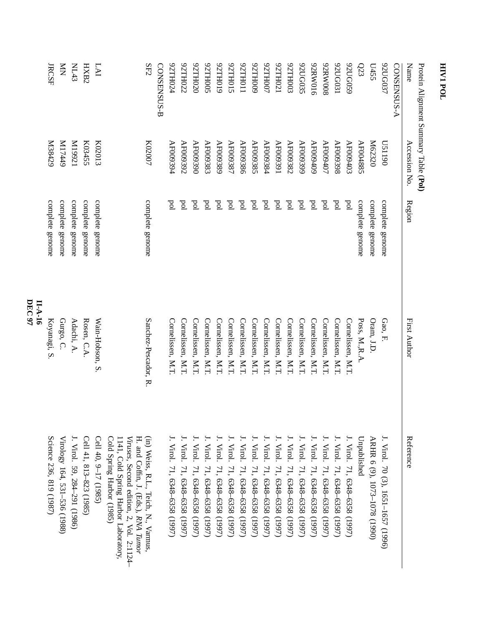| Protein Alignment Summary Table (Pol) |                 |                 |                     |                                                                                                                                                                                              |
|---------------------------------------|-----------------|-----------------|---------------------|----------------------------------------------------------------------------------------------------------------------------------------------------------------------------------------------|
| Name                                  | Accession No.   | Region          | <b>First Author</b> | Reference                                                                                                                                                                                    |
| CONSENSUS-A                           |                 |                 |                     |                                                                                                                                                                                              |
| ACCO31                                | 0611SQ          | complete genome | Gao, F.             | J. Virol. 70 (3), 1651-1657 (1996)                                                                                                                                                           |
| L455                                  | M62320          | complete genome | Oram, J.D.          | ARHR 6 (9), 1073-1078 (1990)                                                                                                                                                                 |
| $\Omega$ 3                            | AF004885        | complete genome | Poss, M.,R.A        | Unpublished                                                                                                                                                                                  |
| <b>92UG059</b>                        | AF009403        | pol             | Comelissen, M.T.    | (Nirol. 71, 6348–6358 (1997))                                                                                                                                                                |
| 1809026                               | <b>AF009398</b> | Бol             | Comelissen, M.T.    | I. Virol. 71, 6348–6358 (1997)                                                                                                                                                               |
| 800MN06                               | AF009407        | Бcl             | Comelissen, M.T     | (1. Virol. 71, 6348–6358 (1997))                                                                                                                                                             |
| 92RW016                               | 60t600HV        | $_{\rm bol}$    | Cornelissen, M.T    | J. Virol.<br>71, 6348-6358 (1997)                                                                                                                                                            |
| SCOOD22                               | AF009399        | pol             | Comelissen, M.T     | J. Virol.<br>71, 6348-6358 (1997)                                                                                                                                                            |
| <b>SCHLIZ6</b>                        | AF009382        | Бcl             | Comelissen, M.T     | . Virol.<br>71, 6348-6358 (1997)                                                                                                                                                             |
| 170HL76                               | AF009391        | Бol             | Cornelissen, M.T    | . Virol.<br>71, 6348-6358 (1997)                                                                                                                                                             |
| <b>COOHLZ6</b>                        | AF009384        | Бol             | Comelissen, M.T.    | . Virol.<br>71, 6348-6358 (1997)                                                                                                                                                             |
| 600HLZ6                               | AF009385        | g               | Comelissen, M.T     | I. Virol.<br>71, 6348-6358 (1997)                                                                                                                                                            |
| 110HL76                               | AF009386        | g               | Comelissen, M.T     | [. Virol.<br>71, 6348-6358 (1997)                                                                                                                                                            |
| <b>92THO15</b>                        | AF009387        | Бol             | Comelissen, M.T     | . Virol.<br>71, 6348-6358 (1997)                                                                                                                                                             |
| 610HLZ6                               | AF009389        | роl             | Comelissen, M.T     | J. Virol.<br>71, 6348-6358 (1997)                                                                                                                                                            |
| SOOHLZ6                               | AF009383        | ટા              | Comelissen, M.T     | . Virol.<br>71, 6348-6358 (1997)                                                                                                                                                             |
| 0Z0HLZ6                               | <b>AF009390</b> | g               | Comelissen, M.T     | I. Virol.<br>71, 6348-6358 (1997)                                                                                                                                                            |
| <b>SZTH022</b>                        | AF009392        | pol             | Comelissen, M.T.    | J. Virol. 71, 6348-6358 (1997)                                                                                                                                                               |
| <b>bZOHLZ6</b>                        | AF009394        | pol             | Comelissen, M.T     | J. Virol. 71, 6348–6358 (1997)                                                                                                                                                               |
| CONSENSUS-B                           |                 |                 |                     |                                                                                                                                                                                              |
| SF2                                   | K02007          | complete genome | Sanchez-Pescador, R | (in) Weiss, R.L., Teich, N., Varmus,<br>H. and Coffin, J. (Eds.), RNA Tumor<br>Cold Spring Harbor (1985)<br>Viruses, Second edition, 2, Vol. 2:1124-<br>1141, Cold Spring Harbor Laboratory, |
| LAI                                   | K02013          | complete genome | Wain-Hobson, S.     | Cell 40, 9-17 (1985)                                                                                                                                                                         |
| HXB2                                  | K03455          | complete genome | Rosen, C.A.         | Cell 41, 813-823 (1985)                                                                                                                                                                      |
| <b>NL43</b>                           | IZ661M          | complete genome | Adachi, A.          | J. Virol. 59, 284–291 (1986)                                                                                                                                                                 |
| $\sum_{i=1}^{n}$                      | 6ttLIN          | complete genome | Gurgo, C.           | Virology 164, 531-536 (1988)                                                                                                                                                                 |
| <b>JRCSF</b>                          | N38429          | complete genome | Koyanagi, S         | Science 236, 819 (1987)                                                                                                                                                                      |
|                                       |                 |                 | $1 - A - 16$        |                                                                                                                                                                                              |

**DEC 97**

**HIV1**

 $\bf{POL}$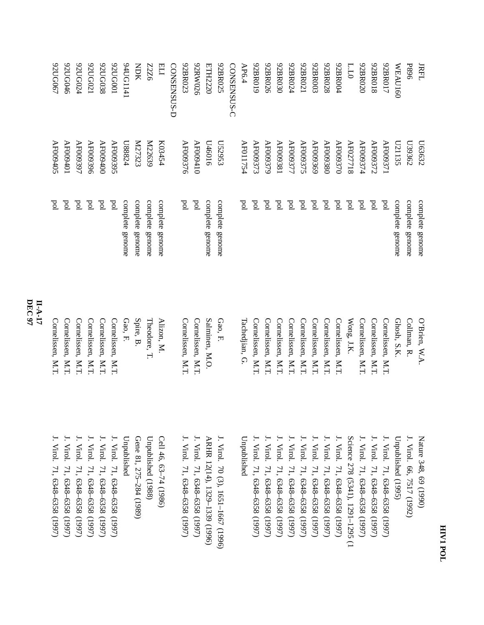| JRFL                  | L63632          | complete genome         |
|-----------------------|-----------------|-------------------------|
| <b>P896</b>           | L39362          | complete genome         |
| WEAU160               | L21135          | complete<br>genome      |
| <b>92BR017</b>        | AF009371        | $_{\rm{pol}}$           |
| 92BR018               | AF009372        | pd                      |
| 92BR020               | AF009374        | pol                     |
| DTT                   | AF027718        | $_{\rm{pol}}$           |
| <b>92BR004</b>        | AF009370        | $_{\rm{pol}}$           |
| 92BR028               | AF009380        | Бcl                     |
| <b>92BR003</b>        | AF009369        | Бcı                     |
| 92BR021               | AF009375        | pol                     |
| <b>92BR024</b>        | AF009377        | Бcı                     |
| <b>92BR030</b>        | AF009381        | g                       |
| 92BR026               | AF009379        | $_{\rm{pol}}$           |
| 92BR019               | AF009373        | pol                     |
| $\text{AP6.4}$        | AF011754        | pol                     |
| CONSENSUS-C           |                 |                         |
| 92BR025               | L52953          | complete genome         |
| ETH2220               | 0109rQ          | complete genome         |
| 92RW026               | AF009410        | $\overline{\text{pol}}$ |
| 92BR023               | AF009376        | pol                     |
| CONSENSUS-D           |                 |                         |
| ELI                   | K03454          | complete genome         |
| 9ZZZ                  | M22639          | complete<br>genome      |
| <b>NDK</b>            | K27323          | complete genome         |
| 1711901 <sub>14</sub> | L88824          | complete<br>genome      |
| 10090726              | AF009395        | pd                      |
| 92UG038               | <b>AF009400</b> | $_{\rm{pol}}$           |
| 1709026               | AF009396        | pol                     |
| 92UG024               | AF009397        | $\overline{\text{pol}}$ |
| 92UG046               | AF009401        | $_{\rm{pol}}$           |
| <b>92UG067</b>        | S06600HV        | $_{\rm{pol}}$           |

| Salminen,<br>Spire,<br>Gao,<br>Gao,<br>Cornelissen,<br>Theodore,<br>Fachedjian,<br>Wong,<br>Ghosh,<br>Comelissen,<br>Comelissen,<br>Comelissen,<br>omelissen,<br>ornelissen,<br>omelissen,<br>omelissen,<br>ornelissen,<br>omelissen,<br>ornelissen,<br>ornelissen,<br>omelissen,<br>ollman,<br>omelissen,<br>omelissen,<br>omelissen,<br>omelissen,<br>omelissen,<br>ornelissen,<br>lizon,<br>'Brien,<br>$\blacksquare$<br>F.<br>ᢍ<br>J.K<br>S.K<br>$\mathbb{Z}$<br>⋞<br>$\overline{\mathbf{x}}$<br>$\boxtimes$<br>H<br>♤<br>ö<br>$\mathbb{X}$<br>$\mathbb{X}$<br>$\mathbf{X}$<br>$\mathbf{X}$<br>$\mathbf{X}$<br>N.<br>N.<br>$\mathbb{X}$<br>$\mathbf{X}$<br>$\mathbf{X}$<br>N.<br>N.<br>M.T.<br>N.<br>N.T<br>N.<br>$\mathbf{X}$<br>¤.<br>N.T<br>Ë<br>Ή<br>Ε<br>⊣<br>Η<br>Ή<br>H<br>H.<br>H<br>H<br>H<br>⊣<br>⊣<br>H |
|------------------------------------------------------------------------------------------------------------------------------------------------------------------------------------------------------------------------------------------------------------------------------------------------------------------------------------------------------------------------------------------------------------------------------------------------------------------------------------------------------------------------------------------------------------------------------------------------------------------------------------------------------------------------------------------------------------------------------------------------------------------------------------------------------------------------|
|------------------------------------------------------------------------------------------------------------------------------------------------------------------------------------------------------------------------------------------------------------------------------------------------------------------------------------------------------------------------------------------------------------------------------------------------------------------------------------------------------------------------------------------------------------------------------------------------------------------------------------------------------------------------------------------------------------------------------------------------------------------------------------------------------------------------|

**DEC 97 II-A-17**

#### **HIV1** $\bf{POL}$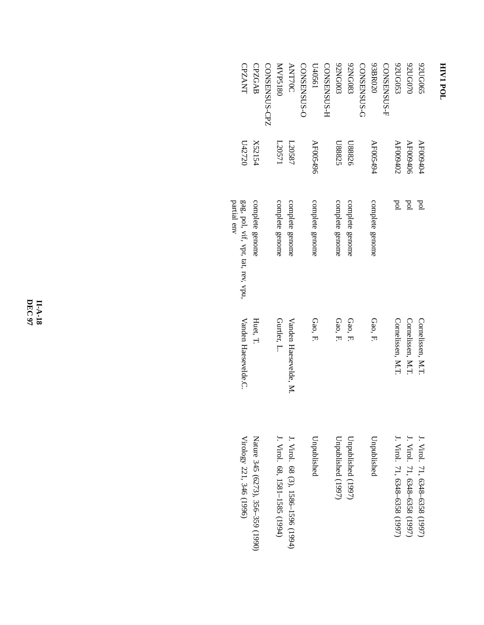| <b>CPZANT</b>                                     | CPZGAB                            | CONSENSUS-CPZ | 081SdAM                        | <b>ANT70C</b>                      | CONSENSUS-O | L9S040          | <b>CONSENSUS-H</b> | <b>92NG003</b>     | <b>92NG083</b>     | CONSENSUS-G | <b>93BR020</b>  | CONSENSUS-F | <b>92UG053</b>                 | 92UG070                        | \$20G065                       |  |
|---------------------------------------------------|-----------------------------------|---------------|--------------------------------|------------------------------------|-------------|-----------------|--------------------|--------------------|--------------------|-------------|-----------------|-------------|--------------------------------|--------------------------------|--------------------------------|--|
| 042720                                            | X52154                            |               | L20571                         | L20587                             |             | AF005496        |                    | L88825             | U88826             |             | AF005494        |             | AF009402                       | AF009406                       | AF009404                       |  |
| gag, pol, vif, vpr, tat, rev, vpu,<br>partial env | complete genome                   |               | complete genome                | complete genome                    |             | complete genome |                    | complete genome    | complete genome    |             | complete genome |             | g                              | pol                            | рој                            |  |
| Vanden Haesevelde.C.                              | Huet, T.                          |               | Gurtler, L.                    | Vanden Haesevelde, M.              |             | Gao, F.         |                    | Gao, F.            | Gao, F.            |             | Gao, F.         |             | Cornelissen, M.T               | Comelissen, M.T                | Comelissen, M.T                |  |
| Virology 221, 346 (1996)                          | Nature 345 (6273), 356–359 (1990) |               | J. Virol. 68, 1581–1585 (1994) | J. Virol. 68 (3), 1586–1596 (1994) |             | Unpublished     |                    | Unpublished (1997) | Unpublished (1997) |             | Unpublished     |             | J. Virol. 71, 6348-6358 (1997) | J. Virol. 71, 6348-6358 (1997) | J. Virol. 71, 6348–6358 (1997) |  |

**HIV1**

 $\bf{POL}$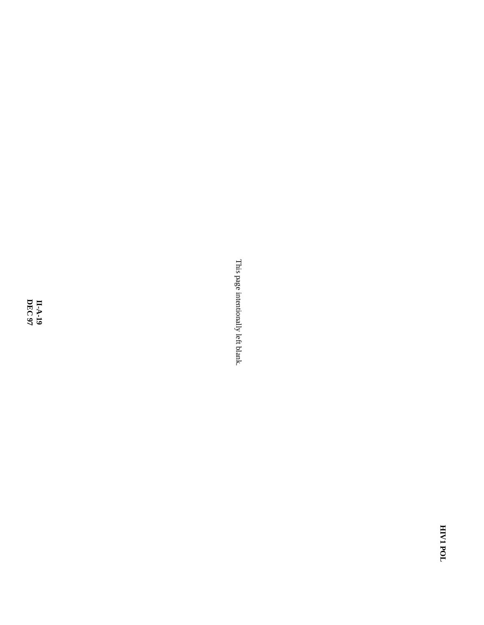**DEC 97 II-A-19**

This page intentionally leftblank.

> **HIV1** $\bf{POL}$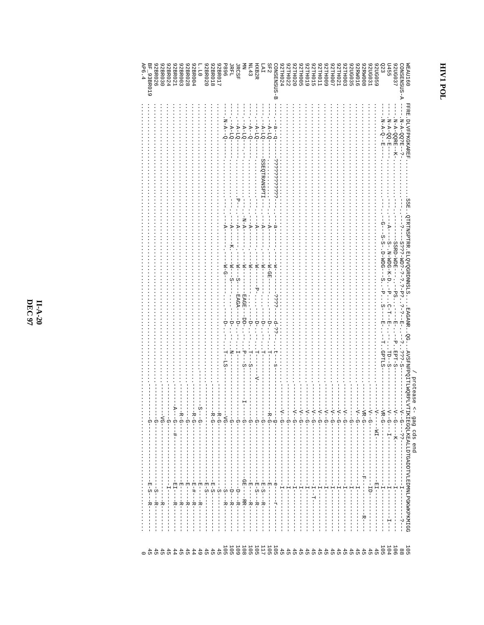| <b>MEAU160</b> | FFRE.DLVFPKGKAREF             | QTRTNSPTRR.ELQVQGRDNNSLS.<br>. EAGANR   | .og.<br><b>AVSFNFPQITLNQRPLVT</b><br>protease | gag<br>cds end                                                                                                | KIEGQLKEALLDTGADDTVLEDMNLPGKWKPKMIGG                                                                                                                                                                                                                                                                                                                                                                                                                                                    |
|----------------|-------------------------------|-----------------------------------------|-----------------------------------------------|---------------------------------------------------------------------------------------------------------------|-----------------------------------------------------------------------------------------------------------------------------------------------------------------------------------------------------------------------------------------------------------------------------------------------------------------------------------------------------------------------------------------------------------------------------------------------------------------------------------------|
| CONSENSUS      | $N - A - QQ$ ? $E - -2 -$     | S???-MD?-?-?.<br>$-PP:$<br>$-2 - 2 - 1$ | $3 - 666$                                     |                                                                                                               |                                                                                                                                                                                                                                                                                                                                                                                                                                                                                         |
| 9200037        | $N - A - QQRE - -K -$         | SSRD-WDE<br>PS.                         | ᠊ᠣ<br>$EPT-S$                                 |                                                                                                               | j<br>Ť                                                                                                                                                                                                                                                                                                                                                                                                                                                                                  |
| <b>U455</b>    | $N - A - QQ - E$              | $ N-N-DQ-K-D$<br>꼬.<br>$C - T$ .        | $m - s$                                       | $\frac{1}{1}$<br>$\mathsf I$<br>$\frac{1}{1}$                                                                 | $\begin{array}{c} \rule{0.2cm}{0.15mm} \end{array}$<br>J<br>$\frac{1}{1}$                                                                                                                                                                                                                                                                                                                                                                                                               |
| Q23            | $N - R - C - F$               | ဂု<br>s<br>5<br>D-NDG<br>Ψ<br>CΟ        | STLL5                                         | R-G<br>$-1$ $-1$ $-1$ $-1$ $-1$ $-1$                                                                          | $-1$<br>$\frac{1}{1}$<br>$\begin{array}{c} \n 1 \\  1 \\  1\n \end{array}$                                                                                                                                                                                                                                                                                                                                                                                                              |
| 9205059        |                               |                                         |                                               | $--\hspace{1.7cm}-\hspace{1.7cm}-\hspace{1.7cm}-\hspace{1.7cm}-\hspace{1.7cm}-\hspace{1.7cm}-\hspace{1.7cm}-$ | $-17B$<br>$\frac{1}{1}$<br>$-1$ $-1$ $-1$ $-1$                                                                                                                                                                                                                                                                                                                                                                                                                                          |
| 20G031         |                               |                                         |                                               | j<br>ţ                                                                                                        | $-1$ HD- $-1$ - $-1$                                                                                                                                                                                                                                                                                                                                                                                                                                                                    |
| 92RW008        |                               |                                         |                                               | 7 – 1<br>R – 대<br>$\frac{1}{1}$<br>$\frac{1}{2}$                                                              | $\begin{array}{c} 1 \\ 1 \\ 1 \end{array}$<br>$\frac{1}{1}$<br>$\begin{array}{c} 1 \\ 1 \\ 1 \\ 1 \end{array}$<br>$- - B - -$                                                                                                                                                                                                                                                                                                                                                           |
| 92RM016        |                               |                                         |                                               | $\dot{\mathsf{Q}}$                                                                                            | $-1 - 1 -$<br>$\begin{array}{c} 1 \\ 1 \\ 1 \end{array}$<br>$\begin{array}{c} 1 \\ 1 \\ 1 \\ 1 \end{array}$                                                                                                                                                                                                                                                                                                                                                                             |
| 20G035         |                               |                                         |                                               | Ω                                                                                                             | Ĵ.<br>÷<br> <br>$\frac{1}{1}$<br>$\frac{1}{1}$                                                                                                                                                                                                                                                                                                                                                                                                                                          |
| 92TH003        |                               |                                         |                                               | <u>ດ ດ</u>                                                                                                    | $-1 - 1$<br>$\frac{1}{1}$                                                                                                                                                                                                                                                                                                                                                                                                                                                               |
| <b>ZTHO21</b>  |                               |                                         |                                               |                                                                                                               | $\frac{1}{1}$<br>$\begin{array}{c} \n 1 \\  1 \\  1\n \end{array}$                                                                                                                                                                                                                                                                                                                                                                                                                      |
| <b>2THO07</b>  |                               |                                         |                                               | Ţ                                                                                                             | I                                                                                                                                                                                                                                                                                                                                                                                                                                                                                       |
| 600HLZ6        |                               |                                         |                                               |                                                                                                               | $\mathrel{\mathop{\mapsto}\,}$<br>$-1$ $-1$ $-1$ $-1$ $-1$ $-1$ $-1$                                                                                                                                                                                                                                                                                                                                                                                                                    |
| STHO11         |                               |                                         |                                               | ı<br>T                                                                                                        |                                                                                                                                                                                                                                                                                                                                                                                                                                                                                         |
| <b>2THO15</b>  |                               |                                         |                                               |                                                                                                               | $-1 - 1 - 1 - 1 -$                                                                                                                                                                                                                                                                                                                                                                                                                                                                      |
| STR019         |                               |                                         |                                               | Ţ                                                                                                             | Ť<br>Ĥ<br>$\begin{bmatrix} 1 & 1 \\ 1 & 1 \\ 1 & 1 \end{bmatrix}$                                                                                                                                                                                                                                                                                                                                                                                                                       |
| <b>2TH005</b>  |                               |                                         |                                               |                                                                                                               | $\frac{1}{H}$                                                                                                                                                                                                                                                                                                                                                                                                                                                                           |
| <b>2TH020</b>  |                               |                                         |                                               |                                                                                                               | $\frac{1}{H}$<br>$-1$ $-1$ $-1$ $-1$ $-1$ $-1$                                                                                                                                                                                                                                                                                                                                                                                                                                          |
| <b>2TH022</b>  |                               |                                         |                                               | $\phi$ $\phi$ $\phi$ $\phi$ $\phi$ $\phi$ $\phi$ $\phi$                                                       | $\frac{1}{1}$<br>$\begin{array}{c} 1 \\ 1 \\ 1 \end{array}$                                                                                                                                                                                                                                                                                                                                                                                                                             |
| 2TH024         |                               |                                         |                                               | I<br>I<br>Î                                                                                                   |                                                                                                                                                                                                                                                                                                                                                                                                                                                                                         |
| CUSENES<br>Ψ   |                               |                                         |                                               | هٔ                                                                                                            | $\frac{1}{1}$<br>I<br>$-1 - 3 - 1$                                                                                                                                                                                                                                                                                                                                                                                                                                                      |
| SF2<br>LA1     | $\delta$ -r $\delta$          | №−GE=                                   |                                               | $R-G$<br>$\mathsf I$<br>Ţ                                                                                     | $\frac{1}{\overline{H}}$<br>$\begin{array}{c} \rule{0pt}{2.5ex} \rule{0pt}{2.5ex} \rule{0pt}{2.5ex} \rule{0pt}{2.5ex} \rule{0pt}{2.5ex} \rule{0pt}{2.5ex} \rule{0pt}{2.5ex} \rule{0pt}{2.5ex} \rule{0pt}{2.5ex} \rule{0pt}{2.5ex} \rule{0pt}{2.5ex} \rule{0pt}{2.5ex} \rule{0pt}{2.5ex} \rule{0pt}{2.5ex} \rule{0pt}{2.5ex} \rule{0pt}{2.5ex} \rule{0pt}{2.5ex} \rule{0pt}{2.5ex} \rule{0pt}{2.5ex} \rule{0$<br>$\frac{1}{1}$<br>$\begin{array}{c} \hline \end{array}$<br>$\frac{1}{1}$ |
|                | $A-LQ$ .<br><b>SEQTRANSPT</b> | à                                       |                                               | $\frac{1}{\Omega}$                                                                                            | $\mathbf{I}$<br>$-E-S$ .<br>$- - -$ B $- -$<br>$\frac{1}{1}$<br>$\frac{1}{1}$                                                                                                                                                                                                                                                                                                                                                                                                           |
| HXB2R          | $A-LQ$ .                      |                                         |                                               |                                                                                                               | $E-S---R--$                                                                                                                                                                                                                                                                                                                                                                                                                                                                             |
| NLL43          | $A - Q$ .                     | è                                       |                                               | I                                                                                                             | $\frac{1}{2}$<br>I<br>$- - B - -$<br>I<br>Ļ<br>$\frac{1}{1}$                                                                                                                                                                                                                                                                                                                                                                                                                            |
|                | $A-LQ$ .<br>쥐                 | EAGE<br>ŧ                               | ੮<br>ပ္ပ်                                     | $\Omega$ $\Omega$ $\Omega$ $\Omega$                                                                           | - 요<br>- -<br>$-BR - -$<br>J<br>I                                                                                                                                                                                                                                                                                                                                                                                                                                                       |
| <b>JRCSF</b>   | $A-LQ$ .                      | $\omega$<br>EAGA.                       |                                               |                                                                                                               | $\frac{1}{1}$                                                                                                                                                                                                                                                                                                                                                                                                                                                                           |
| JRFL<br>P896   | $QT - R -$                    | $M -$<br>۱.<br>م                        |                                               | $\frac{1}{\Omega}$<br>I                                                                                       | I                                                                                                                                                                                                                                                                                                                                                                                                                                                                                       |
|                | $D - A - D$                   | ≤<br>ດ                                  |                                               | $\sum_{i=1}^{n}$<br>ì<br>I                                                                                    | $-5$<br>$---R---$<br>I<br>I                                                                                                                                                                                                                                                                                                                                                                                                                                                             |
| 92BR017        |                               |                                         |                                               | $R-G$                                                                                                         | $\frac{1}{\mathcal{O}}$<br>$\overline{\phantom{a}}$<br>$\frac{1}{1}$                                                                                                                                                                                                                                                                                                                                                                                                                    |
| 92BR018        |                               |                                         |                                               | R-G                                                                                                           | EI<br>S<br>$\frac{1}{1}$                                                                                                                                                                                                                                                                                                                                                                                                                                                                |
| 92BR020        |                               |                                         |                                               |                                                                                                               | $E-5$<br>$\frac{1}{1}$                                                                                                                                                                                                                                                                                                                                                                                                                                                                  |
| $L \cdot L0$   |                               |                                         |                                               | ÜΩ<br>$\frac{1}{\Omega}$                                                                                      | $\frac{1}{2}$<br>$- B - -$                                                                                                                                                                                                                                                                                                                                                                                                                                                              |
| 92BR004        |                               |                                         |                                               | Η<br>Ω−                                                                                                       | - E - # - - - - E - -                                                                                                                                                                                                                                                                                                                                                                                                                                                                   |
| 92BR028        |                               |                                         |                                               | $\frac{1}{\Omega}$                                                                                            | È.<br>$- B - -$                                                                                                                                                                                                                                                                                                                                                                                                                                                                         |
| 92BR003        |                               |                                         |                                               | k−G                                                                                                           | $-1$<br>$- B - -$<br>J                                                                                                                                                                                                                                                                                                                                                                                                                                                                  |
| 92BR021        |                               |                                         |                                               | ⊅<br>$\frac{1}{\Omega}$                                                                                       | $-ELI$<br>$- -B - -$                                                                                                                                                                                                                                                                                                                                                                                                                                                                    |
| 92BR024        |                               |                                         |                                               | Ω                                                                                                             | Ħ<br>$\frac{1}{1}$                                                                                                                                                                                                                                                                                                                                                                                                                                                                      |
| 92BR030        |                               |                                         |                                               |                                                                                                               |                                                                                                                                                                                                                                                                                                                                                                                                                                                                                         |
| 92BR026        |                               |                                         |                                               | $-\lambda$ G.                                                                                                 | $- - B - -$                                                                                                                                                                                                                                                                                                                                                                                                                                                                             |
|                |                               |                                         |                                               | <u>ດ ດ</u>                                                                                                    | r,<br>$- - - + - - -$<br>I                                                                                                                                                                                                                                                                                                                                                                                                                                                              |

#### $\frac{\Pi\text{-A-20}}{\text{DEC~97}}$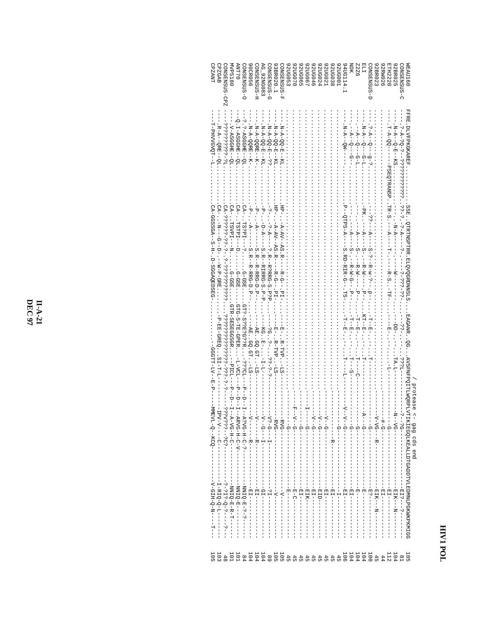|                                                                                                                                                                                                                                                                                                                                                                            | H-PHANQAOSADH-T<br>CA-GGSSSA--S-H-S-H-SGGAQEDSEC-AC<br>-GGGLL-LV--H-E-<br>$- -$ MMEVL-Q--KCQ----                                                                                                                                                                                                                                                                                                                                                                                                                                                              | CPZANT                                    |
|----------------------------------------------------------------------------------------------------------------------------------------------------------------------------------------------------------------------------------------------------------------------------------------------------------------------------------------------------------------------------|---------------------------------------------------------------------------------------------------------------------------------------------------------------------------------------------------------------------------------------------------------------------------------------------------------------------------------------------------------------------------------------------------------------------------------------------------------------------------------------------------------------------------------------------------------------|-------------------------------------------|
|                                                                                                                                                                                                                                                                                                                                                                            | $R - R - Q R E - Q L.$<br>. . - N - - -0-- - - - N - D - -0<br>BEE<br>$IPV-V---C---$                                                                                                                                                                                                                                                                                                                                                                                                                                                                          | CPZGAB                                    |
|                                                                                                                                                                                                                                                                                                                                                                            | コミーととととととととと<br>いいりょうかい じゅうしょう ニューカー りょうかい かいかい                                                                                                                                                                                                                                                                                                                                                                                                                                                                                                               | CONSENSUS-CPZ                             |
|                                                                                                                                                                                                                                                                                                                                                                            | V-ASGGHE-QL.<br>$N=-1205L$<br>$-G-BE$ .                                                                                                                                                                                                                                                                                                                                                                                                                                                                                                                       | MVP5180                                   |
|                                                                                                                                                                                                                                                                                                                                                                            | $-Q$ . I-ASGGHE--QL.<br>$\cdots$ $\cdots$ $\cdots$ $\cdots$ $\cdots$ $\cdots$ $\cdots$<br>CTG-S-TE-GPER. .-L-VCL<br>$\begin{split} \textbf{1} & \cdots & \mathbf{1} - \mathbf{1} \otimes \mathbf{2} \otimes \mathbf{1} \otimes \mathbf{1} \otimes \mathbf{1} - \mathbf{1} - \mathbf{1} - \mathbf{1} - \mathbf{1} - \mathbf{1} - \mathbf{1} - \mathbf{1} - \mathbf{1} - \mathbf{1} - \mathbf{1} - \mathbf{1} - \mathbf{1} - \mathbf{1} - \mathbf{1} - \mathbf{1} - \mathbf{1} - \mathbf{1} - \mathbf{1} - \mathbf{1} - \mathbf{1} - \mathbf{1} - \mathbf{1} -$ | <b>07TYA</b>                              |
|                                                                                                                                                                                                                                                                                                                                                                            | $2.2 - RSCGHE = -QL$<br>.GT?-S??E?G??R-???CL                                                                                                                                                                                                                                                                                                                                                                                                                                                                                                                  |                                           |
|                                                                                                                                                                                                                                                                                                                                                                            | $- N - N - QQED - K -$<br>†<br>¦                                                                                                                                                                                                                                                                                                                                                                                                                                                                                                                              |                                           |
|                                                                                                                                                                                                                                                                                                                                                                            | $. N - A - QQ - E - K -$<br>$. N - A - QQRE - K -$<br>$-$ - $      -$                                                                                                                                                                                                                                                                                                                                                                                                                                                                                         | CONSENSUS-H<br>90CR 056                   |
|                                                                                                                                                                                                                                                                                                                                                                            | $-D - A - -$<br>$-S. R$ -RIRRG-S.P-P                                                                                                                                                                                                                                                                                                                                                                                                                                                                                                                          | AG_92NG083                                |
|                                                                                                                                                                                                                                                                                                                                                                            | - N-A-QQ-E-??<br>$-36.2 - 3 - 1.22 - 2 - 1$                                                                                                                                                                                                                                                                                                                                                                                                                                                                                                                   | <b>D-SOSENSIOS</b>                        |
|                                                                                                                                                                                                                                                                                                                                                                            | $N - R - QQ - E - -KL$<br>. $- A - AV - AS$ . $R - - -C - C -$ . $P I -$                                                                                                                                                                                                                                                                                                                                                                                                                                                                                      | 93BR020.1                                 |
|                                                                                                                                                                                                                                                                                                                                                                            | $N - A - QQ - E$<br>--к-п.<br>$- A - A V - - R S$ . R $- - P - C -$<br>.R-TVP-L                                                                                                                                                                                                                                                                                                                                                                                                                                                                               | GNSENSUS-F                                |
|                                                                                                                                                                                                                                                                                                                                                                            |                                                                                                                                                                                                                                                                                                                                                                                                                                                                                                                                                               | 92UG053                                   |
|                                                                                                                                                                                                                                                                                                                                                                            |                                                                                                                                                                                                                                                                                                                                                                                                                                                                                                                                                               |                                           |
|                                                                                                                                                                                                                                                                                                                                                                            |                                                                                                                                                                                                                                                                                                                                                                                                                                                                                                                                                               |                                           |
|                                                                                                                                                                                                                                                                                                                                                                            |                                                                                                                                                                                                                                                                                                                                                                                                                                                                                                                                                               |                                           |
|                                                                                                                                                                                                                                                                                                                                                                            |                                                                                                                                                                                                                                                                                                                                                                                                                                                                                                                                                               | 92UG046<br>92UG067<br>92UG0670<br>92UG070 |
|                                                                                                                                                                                                                                                                                                                                                                            |                                                                                                                                                                                                                                                                                                                                                                                                                                                                                                                                                               | 9205024                                   |
|                                                                                                                                                                                                                                                                                                                                                                            |                                                                                                                                                                                                                                                                                                                                                                                                                                                                                                                                                               | 9205021                                   |
|                                                                                                                                                                                                                                                                                                                                                                            |                                                                                                                                                                                                                                                                                                                                                                                                                                                                                                                                                               | 920G038                                   |
|                                                                                                                                                                                                                                                                                                                                                                            |                                                                                                                                                                                                                                                                                                                                                                                                                                                                                                                                                               | 920G001                                   |
|                                                                                                                                                                                                                                                                                                                                                                            | $-1 - 2 - 6M - - - -$<br>- - - - - - - - - - - - - - - - -                                                                                                                                                                                                                                                                                                                                                                                                                                                                                                    | 94UG114.                                  |
|                                                                                                                                                                                                                                                                                                                                                                            | . – – К–М–С– . Р––<br><b>ロート因ー・・・ーー</b><br>$\ldots$ T---S-- $\ldots$                                                                                                                                                                                                                                                                                                                                                                                                                                                                                          | NDК                                       |
|                                                                                                                                                                                                                                                                                                                                                                            | - ' 5-                                                                                                                                                                                                                                                                                                                                                                                                                                                                                                                                                        | 3225                                      |
|                                                                                                                                                                                                                                                                                                                                                                            | - .N-A--Q---G-L.<br>- . - PK - - - A - - - - S - . - - R - W - - - - . P -<br>・・KT---E--                                                                                                                                                                                                                                                                                                                                                                                                                                                                      | Ë                                         |
|                                                                                                                                                                                                                                                                                                                                                                            |                                                                                                                                                                                                                                                                                                                                                                                                                                                                                                                                                               | G-SOSNERWS                                |
| $\begin{aligned} -2\frac{1}{2} & -2\frac{1}{2} & -2\frac{1}{2} & -2\frac{1}{2} & -2\frac{1}{2} & -2\frac{1}{2} & -2\frac{1}{2} & -2\frac{1}{2} & -2\frac{1}{2} & -2\frac{1}{2} & -2\frac{1}{2} & -2\frac{1}{2} & -2\frac{1}{2} & -2\frac{1}{2} & -2\frac{1}{2} & -2\frac{1}{2} & -2\frac{1}{2} & -2\frac{1}{2} & -2\frac{1}{2} & -2\frac{1}{2} & -2\frac{1}{2} & -2\frac{$ |                                                                                                                                                                                                                                                                                                                                                                                                                                                                                                                                                               | 92BR023                                   |
|                                                                                                                                                                                                                                                                                                                                                                            |                                                                                                                                                                                                                                                                                                                                                                                                                                                                                                                                                               | 92RW026                                   |
|                                                                                                                                                                                                                                                                                                                                                                            | ・・- - - - - - - - - - - - - - - -                                                                                                                                                                                                                                                                                                                                                                                                                                                                                                                             | ETH2220                                   |
|                                                                                                                                                                                                                                                                                                                                                                            | $-1 - 1 - 1 - 1 -$<br>$\ldots$ TA . L $\ldots$                                                                                                                                                                                                                                                                                                                                                                                                                                                                                                                | 92BR025                                   |
|                                                                                                                                                                                                                                                                                                                                                                            |                                                                                                                                                                                                                                                                                                                                                                                                                                                                                                                                                               | CONSENSUS-C                               |
|                                                                                                                                                                                                                                                                                                                                                                            | FFRE. DIVERARAREE<br>SE. . QTRTNSPTRR. ELQVQGRDNNSLS                                                                                                                                                                                                                                                                                                                                                                                                                                                                                                          | <b>VEAU160</b>                            |
|                                                                                                                                                                                                                                                                                                                                                                            |                                                                                                                                                                                                                                                                                                                                                                                                                                                                                                                                                               |                                           |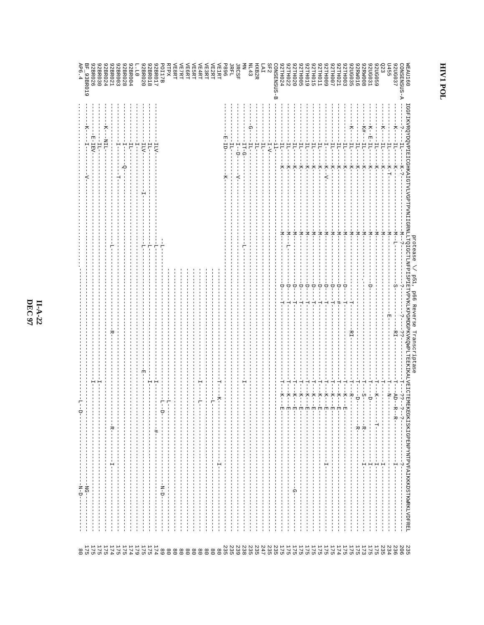#### $\frac{H-A-22}{\text{DEC } 97}$

| Σ<br>Γ−<br>л<br>÷<br>루<br>$\overline{\phantom{a}}$<br>부<br>ᡛ<br>$\frac{1}{\sqrt{2}}$<br>ė<br>à<br>à<br>è<br>U<br>p<br>p<br>p<br>U<br>p<br>U<br>휴<br>휴<br>부<br>부<br>부<br>부<br>÷<br>ė<br>부<br>보<br>≑<br>КT<br>団<br>ŧ<br>÷<br>÷<br>÷<br>ŧ<br>ŕ<br>부<br>Ť<br>부<br>부<br>۲ļ<br>부<br>H<br>부<br>부<br>부<br>부<br>부<br>년<br>н<br>부<br>부<br>$-K^-$<br>$-K-$<br>$-1$<br>$-AD$<br>トスー<br>$\frac{1}{\lambda}$<br>$\overline{X}$<br>– R−<br>$\frac{1}{1}$<br>$\frac{1}{\lambda}$<br>$\frac{1}{\lambda}$<br>$\overline{X}$<br>$\frac{1}{\lambda}$<br>トマー<br>ポー<br>ا<br>م<br>÷<br>ė<br>Ķ<br>÷<br>Ĥ<br>י<br>י<br>투<br>丙<br>÷<br>団<br>団<br>団<br>団<br>団<br>固<br>団<br>中<br>団<br>٦T<br>à<br>$\mathsf I$<br>$\mathbf{I}$<br>$\mathsf I$<br>.<br>무<br>п<br>п<br>$\frac{1}{1}$<br>$\frac{1}{\mathcal{R}}$<br>I<br>$-K-$<br>J.<br>п<br>I<br>I<br>I<br>I<br>П<br>л<br>п<br>л<br>J<br>#<br>п<br>л<br>п<br>П<br>п<br>п<br>п<br>п<br>л<br>л<br>ł<br>п<br>$\mathbf{I}$<br>л<br>$\mathbf{I}$<br>п<br>п<br>п<br>п<br>$\blacksquare$<br>п<br>п<br>п<br>1<br>п<br>л<br>л<br>П<br>л. |
|-------------------------------------------------------------------------------------------------------------------------------------------------------------------------------------------------------------------------------------------------------------------------------------------------------------------------------------------------------------------------------------------------------------------------------------------------------------------------------------------------------------------------------------------------------------------------------------------------------------------------------------------------------------------------------------------------------------------------------------------------------------------------------------------------------------------------------------------------------------------------------------------------------------------------------------------------------------------------------------------------------------------------------------------------|
|                                                                                                                                                                                                                                                                                                                                                                                                                                                                                                                                                                                                                                                                                                                                                                                                                                                                                                                                                                                                                                                 |
|                                                                                                                                                                                                                                                                                                                                                                                                                                                                                                                                                                                                                                                                                                                                                                                                                                                                                                                                                                                                                                                 |
|                                                                                                                                                                                                                                                                                                                                                                                                                                                                                                                                                                                                                                                                                                                                                                                                                                                                                                                                                                                                                                                 |
|                                                                                                                                                                                                                                                                                                                                                                                                                                                                                                                                                                                                                                                                                                                                                                                                                                                                                                                                                                                                                                                 |
|                                                                                                                                                                                                                                                                                                                                                                                                                                                                                                                                                                                                                                                                                                                                                                                                                                                                                                                                                                                                                                                 |
|                                                                                                                                                                                                                                                                                                                                                                                                                                                                                                                                                                                                                                                                                                                                                                                                                                                                                                                                                                                                                                                 |
|                                                                                                                                                                                                                                                                                                                                                                                                                                                                                                                                                                                                                                                                                                                                                                                                                                                                                                                                                                                                                                                 |
|                                                                                                                                                                                                                                                                                                                                                                                                                                                                                                                                                                                                                                                                                                                                                                                                                                                                                                                                                                                                                                                 |
|                                                                                                                                                                                                                                                                                                                                                                                                                                                                                                                                                                                                                                                                                                                                                                                                                                                                                                                                                                                                                                                 |
|                                                                                                                                                                                                                                                                                                                                                                                                                                                                                                                                                                                                                                                                                                                                                                                                                                                                                                                                                                                                                                                 |
|                                                                                                                                                                                                                                                                                                                                                                                                                                                                                                                                                                                                                                                                                                                                                                                                                                                                                                                                                                                                                                                 |
|                                                                                                                                                                                                                                                                                                                                                                                                                                                                                                                                                                                                                                                                                                                                                                                                                                                                                                                                                                                                                                                 |
|                                                                                                                                                                                                                                                                                                                                                                                                                                                                                                                                                                                                                                                                                                                                                                                                                                                                                                                                                                                                                                                 |
|                                                                                                                                                                                                                                                                                                                                                                                                                                                                                                                                                                                                                                                                                                                                                                                                                                                                                                                                                                                                                                                 |
|                                                                                                                                                                                                                                                                                                                                                                                                                                                                                                                                                                                                                                                                                                                                                                                                                                                                                                                                                                                                                                                 |
|                                                                                                                                                                                                                                                                                                                                                                                                                                                                                                                                                                                                                                                                                                                                                                                                                                                                                                                                                                                                                                                 |
|                                                                                                                                                                                                                                                                                                                                                                                                                                                                                                                                                                                                                                                                                                                                                                                                                                                                                                                                                                                                                                                 |
|                                                                                                                                                                                                                                                                                                                                                                                                                                                                                                                                                                                                                                                                                                                                                                                                                                                                                                                                                                                                                                                 |
|                                                                                                                                                                                                                                                                                                                                                                                                                                                                                                                                                                                                                                                                                                                                                                                                                                                                                                                                                                                                                                                 |
|                                                                                                                                                                                                                                                                                                                                                                                                                                                                                                                                                                                                                                                                                                                                                                                                                                                                                                                                                                                                                                                 |
|                                                                                                                                                                                                                                                                                                                                                                                                                                                                                                                                                                                                                                                                                                                                                                                                                                                                                                                                                                                                                                                 |
|                                                                                                                                                                                                                                                                                                                                                                                                                                                                                                                                                                                                                                                                                                                                                                                                                                                                                                                                                                                                                                                 |
|                                                                                                                                                                                                                                                                                                                                                                                                                                                                                                                                                                                                                                                                                                                                                                                                                                                                                                                                                                                                                                                 |
|                                                                                                                                                                                                                                                                                                                                                                                                                                                                                                                                                                                                                                                                                                                                                                                                                                                                                                                                                                                                                                                 |
|                                                                                                                                                                                                                                                                                                                                                                                                                                                                                                                                                                                                                                                                                                                                                                                                                                                                                                                                                                                                                                                 |
|                                                                                                                                                                                                                                                                                                                                                                                                                                                                                                                                                                                                                                                                                                                                                                                                                                                                                                                                                                                                                                                 |
|                                                                                                                                                                                                                                                                                                                                                                                                                                                                                                                                                                                                                                                                                                                                                                                                                                                                                                                                                                                                                                                 |
|                                                                                                                                                                                                                                                                                                                                                                                                                                                                                                                                                                                                                                                                                                                                                                                                                                                                                                                                                                                                                                                 |
|                                                                                                                                                                                                                                                                                                                                                                                                                                                                                                                                                                                                                                                                                                                                                                                                                                                                                                                                                                                                                                                 |
|                                                                                                                                                                                                                                                                                                                                                                                                                                                                                                                                                                                                                                                                                                                                                                                                                                                                                                                                                                                                                                                 |
|                                                                                                                                                                                                                                                                                                                                                                                                                                                                                                                                                                                                                                                                                                                                                                                                                                                                                                                                                                                                                                                 |
|                                                                                                                                                                                                                                                                                                                                                                                                                                                                                                                                                                                                                                                                                                                                                                                                                                                                                                                                                                                                                                                 |
|                                                                                                                                                                                                                                                                                                                                                                                                                                                                                                                                                                                                                                                                                                                                                                                                                                                                                                                                                                                                                                                 |
|                                                                                                                                                                                                                                                                                                                                                                                                                                                                                                                                                                                                                                                                                                                                                                                                                                                                                                                                                                                                                                                 |
|                                                                                                                                                                                                                                                                                                                                                                                                                                                                                                                                                                                                                                                                                                                                                                                                                                                                                                                                                                                                                                                 |
|                                                                                                                                                                                                                                                                                                                                                                                                                                                                                                                                                                                                                                                                                                                                                                                                                                                                                                                                                                                                                                                 |
|                                                                                                                                                                                                                                                                                                                                                                                                                                                                                                                                                                                                                                                                                                                                                                                                                                                                                                                                                                                                                                                 |
|                                                                                                                                                                                                                                                                                                                                                                                                                                                                                                                                                                                                                                                                                                                                                                                                                                                                                                                                                                                                                                                 |
|                                                                                                                                                                                                                                                                                                                                                                                                                                                                                                                                                                                                                                                                                                                                                                                                                                                                                                                                                                                                                                                 |
|                                                                                                                                                                                                                                                                                                                                                                                                                                                                                                                                                                                                                                                                                                                                                                                                                                                                                                                                                                                                                                                 |
|                                                                                                                                                                                                                                                                                                                                                                                                                                                                                                                                                                                                                                                                                                                                                                                                                                                                                                                                                                                                                                                 |
|                                                                                                                                                                                                                                                                                                                                                                                                                                                                                                                                                                                                                                                                                                                                                                                                                                                                                                                                                                                                                                                 |
|                                                                                                                                                                                                                                                                                                                                                                                                                                                                                                                                                                                                                                                                                                                                                                                                                                                                                                                                                                                                                                                 |
| ш<br>$-K-$<br>$\mathbf{I}$                                                                                                                                                                                                                                                                                                                                                                                                                                                                                                                                                                                                                                                                                                                                                                                                                                                                                                                                                                                                                      |
|                                                                                                                                                                                                                                                                                                                                                                                                                                                                                                                                                                                                                                                                                                                                                                                                                                                                                                                                                                                                                                                 |
|                                                                                                                                                                                                                                                                                                                                                                                                                                                                                                                                                                                                                                                                                                                                                                                                                                                                                                                                                                                                                                                 |
|                                                                                                                                                                                                                                                                                                                                                                                                                                                                                                                                                                                                                                                                                                                                                                                                                                                                                                                                                                                                                                                 |
|                                                                                                                                                                                                                                                                                                                                                                                                                                                                                                                                                                                                                                                                                                                                                                                                                                                                                                                                                                                                                                                 |
|                                                                                                                                                                                                                                                                                                                                                                                                                                                                                                                                                                                                                                                                                                                                                                                                                                                                                                                                                                                                                                                 |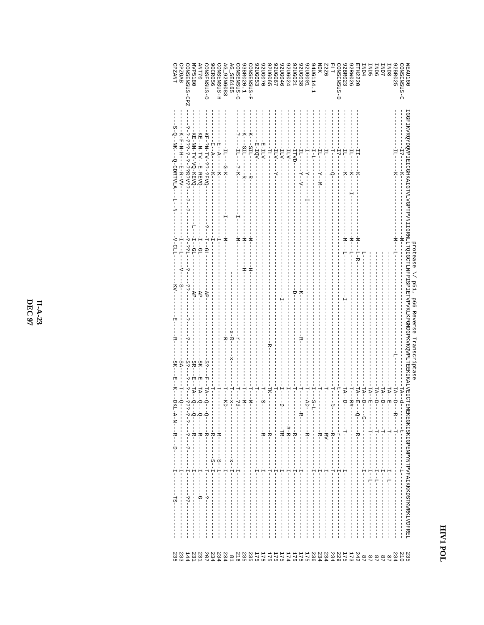| CPZANT<br>CPZGAB<br>90CR056<br>93BR020.1<br>CONSENSUS-G<br>93000065<br>920G038<br>920G021<br>0000001<br>94UG114.<br>ETH2220<br>CONSENSUS-CPZ<br>MVP5180<br><b>ANT70</b><br>C-SOSNESMOC<br>AG_92NG083<br><b>AG_SE6165</b><br>920G070<br>920G053<br>920G067<br>9205024<br>NDK<br>2226<br>92BR023<br>92RW026<br>H-SOSNESNOC<br><b>SUSENSENSUS</b><br>920G046<br>ELI<br>C-SOSENS<br>NGC<br>LND4<br><b>TND7</b><br><b>LND5</b><br><b>LND6</b><br>END8                                                                                                                                                    | 92BR025<br>CONSENSUS-C<br><b>MEAU160</b>                                                                                                  |
|-----------------------------------------------------------------------------------------------------------------------------------------------------------------------------------------------------------------------------------------------------------------------------------------------------------------------------------------------------------------------------------------------------------------------------------------------------------------------------------------------------------------------------------------------------------------------------------------------------|-------------------------------------------------------------------------------------------------------------------------------------------|
| S-Q--NK--<br>-<br>KE--<br>Z-<br>HV--<br>HV--<br>HV-<br>HV-<br>HV-<br>2-227-2-2-2282727<br>KE-NN-TV-VQ-KEVQ-<br>K-F-N-H----F-R-F-VV-<br>KE-2N-TV-29-2EVQ<br>주<br>Κ-<br>$-TTST$ -<br>E-IQV<br><b>E-A-</b><br>$E = A -$<br>$-211$ -<br>$E - TIT$<br>-- 11- - - - - - - - -<br>$-11 - 1 - 0 - 0 - 0$<br>TLV-<br>با<br>-<br>TLV-<br>$-LV-$<br><b>TTVD-</b><br>변<br>Ę<br>I<br>Ë<br>י<br>ו<br>-Q-GDRTVLA<br>$-K-$<br>k<br>F<br>$-K-\cdot$<br>$\frac{1}{2}$<br>$-7$<br>–<br>H−<br>-X<br>-<br>$-7$<br>ρ<br>R-<br>₹                                                                                           | TGGFIKVROYPIEI COHKA.TGTVLVGPTPVNI I CRNILLTVJCGCTLINFPISP LETYPVKLKPGMDGPKVKOWPCPKVKOWPCPKTEIVEI LETYPPVKLISKCHSKOWPVFATEISP LETYPPVKCHS |
| $-1 - 1 - -1 - -1$<br>"≍<br>$\preceq^-$<br>$\frac{1}{2}$<br>$\bar{N}^-$<br>국<br>-<br>$\overline{X}$ –<br>.<br>≒<br>V-CLL<br>$-72.5 - 5$<br>$-10 - -1$<br>$-1 - 1$<br>$-45$<br>Ś<br>中                                                                                                                                                                                                                                                                                                                                                                                                                | protease                                                                                                                                  |
| ပ္ပ<br>ن<br>اب<br>$-4A$<br>-AP-<br>AP-<br>ç                                                                                                                                                                                                                                                                                                                                                                                                                                                                                                                                                         |                                                                                                                                           |
| x-R-<br>ᆽ<br>ιģ.<br>g<br>ς.                                                                                                                                                                                                                                                                                                                                                                                                                                                                                                                                                                         | \/ p51, p66 Reverse Transcriptase                                                                                                         |
| -SK-<br>$SR -$<br>SK-<br>$E - T A -$<br><b>E-17A-</b><br>F<br>中!<br>-FA-<br>$TA$ -<br>$TA$ --<br>ن-<br>ا<br><b>TA--</b><br>$-LA$ -<br>TA-<br>$-LA-$<br>TA--<br>- 5A - -<br>$-AD$ -<br>$-2x$<br>$-54-$<br>j<br>T<br>Ė<br>$\overline{N}$ –<br>÷<br>≍<br>ik#-<br>ပှ<br>$S - T$<br>면<br>PKL<br>339-<br>ò<br>÷<br>면<br>p<br>Ġ<br>ņ<br>p                                                                                                                                                                                                                                                                  | $-LA-d--$                                                                                                                                 |
| $-1 - 2 - 1$<br>$\frac{1}{2}$<br>ó<br> <br>$\sum_{i=1}^{n}$<br>-<br>H<br>-<br>$\frac{1}{1}$<br>R----T<br>$-2$<br>$-1 - 1 - 1$<br>I<br>---<br>HH--<br>$\frac{1}{1}$<br>$\frac{1}{1}$<br>$\frac{1}{1}$<br>#-R-<br>$\frac{1}{1}$<br>$\frac{1}{1}$<br>$\frac{1}{1}$<br>$\frac{1}{1}$<br>トーーー<br>$\frac{1}{1}$<br>ł<br>$\frac{1}{1}$<br>$\frac{1}{1}$<br>ł<br>ł<br>$\frac{1}{1}$<br>т<br>$R$ <sup>--</sup><br>L<br>$-EN-$<br>$R$ <sup>-</sup><br>$\overline{r}$<br>$R$ ---D-<br>ᆽ<br>ᄷ<br>ᄷ<br>$\frac{1}{1}$<br>R-----<br>ᆽ<br>R---<br>$R$ -<br>$3 - -2$<br>г<br>$\frac{1}{1}$<br>ı<br>ł<br>ł<br>ì<br>Î. | $\frac{1}{1}$                                                                                                                             |
| $-1 - X - 1$<br>$\frac{5}{1}$<br>$-5 -$<br>$\begin{array}{c} 1 \\ 1 \\ 1 \end{array}$<br>т<br>ł<br>$\frac{1}{1}$<br>$\frac{1}{1}$<br>Ť<br>I<br>$\mathbb I$<br>$-1 - 1 - 1$<br>$\frac{1}{1}$<br>$\frac{1}{1}$<br>I<br>i<br>İ<br>$\frac{1}{1}$<br>Ť<br>Ť<br>Ť<br>Ť<br>Ť<br>$\frac{1}{1}$<br>i<br>İ<br>$\frac{1}{1}$<br>i<br>İ<br>$\frac{1}{1}$<br>H<br>H<br>Ţ<br>$1 - 1 - 1 - 1 - 1$<br>$T--T$<br>ļ<br>Ļ<br>$-1 - 5$<br>ţ<br>ı<br>.<br>LS<br>Ť<br>I<br>နှ<br>$-25 -$                                                                                                                                  | $-1$                                                                                                                                      |
| $\begin{array}{c} \n 1 \\  1 \\  1\n \end{array}$<br>I<br>$\begin{array}{c} 1 \\ 1 \\ 1 \\ 1 \end{array}$<br> <br> <br> <br> <br>$-1$ $-1$ $-1$ $-1$<br>$-1$<br>$-1$<br>$-1$<br>$-1$<br>$-1$ $-1$ $-1$ $-1$<br>$\begin{array}{c} 1 \\ 1 \\ 1 \\ 1 \end{array}$<br>$\frac{1}{1}$<br>$\frac{1}{1}$<br>ï                                                                                                                                                                                                                                                                                               | $\frac{1}{1}$<br>$-1$ $-1$ $-1$ $-1$                                                                                                      |
| 234<br>229<br>8 8 8 9 9 9 9 9 9 9<br>1 7 9 9 9 9 9 9 9<br>1 7 9 9 9 9 9 9<br>235<br>233<br>231<br>231<br>207<br>234<br>144                                                                                                                                                                                                                                                                                                                                                                                                                                                                          | 235<br>210                                                                                                                                |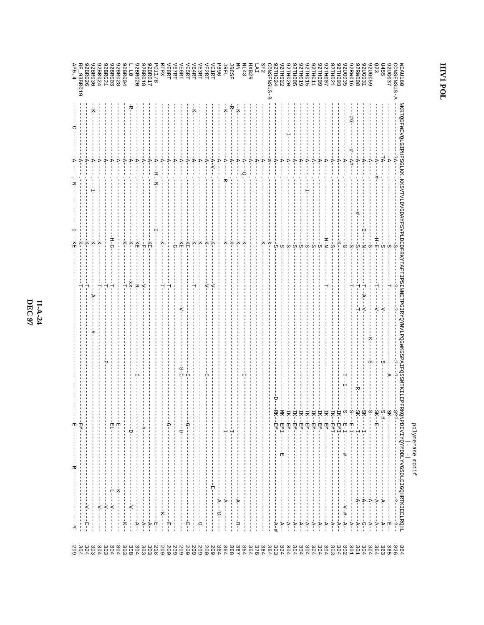#### $\frac{H-A-24}{\text{DEC 97}}$

| 92UG037<br>5455<br>CONSENSUS<br>WEAU160<br>650BDZ6<br>23 | $-5A-$<br>TA-<br>Ъ<br>ъ<br>ъ | $\frac{1}{2}$<br>w<br>C<br>C<br>w | NKKTQDFWEVQLGIPHPSGLKK.KKSVTVLDVGDAYFSVPLDEDFRKYTAFPIFSINNEPGIRKQYNVLPQGWKGSPAIFQSSMTKILEEPFRKQNPDIYYTYQYMDDLYVGSDLEIGQHRTKIEELER<br>부<br>Н,<br>$\overline{\phantom{a}}$<br>₹<br>₹<br>۰v<br>전 | w<br>S<br>ن.<br>ا<br>ن.<br>ъ<br>$\frac{5}{1}$<br>SK<br>$\frac{1}{2}$<br>ЗK<br>S | H<br>-----<br>$\frac{1}{2}$<br>$-1 - 2 -$<br>polymerase motif<br>$\frac{1}{1}$<br>I<br>л<br>J<br>1 |
|----------------------------------------------------------|------------------------------|-----------------------------------|-----------------------------------------------------------------------------------------------------------------------------------------------------------------------------------------------|---------------------------------------------------------------------------------|----------------------------------------------------------------------------------------------------|
| 20G031                                                   | Þ                            |                                   | 부<br>$\overline{a}$                                                                                                                                                                           | SK                                                                              |                                                                                                    |
| <b>2RW008</b>                                            | Ъ<br>ŧ                       | Ţ<br>$\frac{1}{2}$<br>S           | 闩<br>$\frac{1}{2}$<br>闩                                                                                                                                                                       | ᄷ<br>SK                                                                         | $\frac{1}{1}$<br>$-1 - 1$<br>í                                                                     |
| 20G035<br>2RW016<br>Ω                                    | ₩<br>--A#-<br>$-4-$          | ှု<br>S                           | н                                                                                                                                                                                             | ÷<br>٢<br>$\frac{5}{1}$<br>$\frac{5}{1}$                                        | $-1 - 2 - 1 - 1 - 1$<br>$  \overline{E}$ $ \overline{E}$ $ \overline{E}$ $-$<br>$\frac{1}{1}$      |
| <b>2TH003</b>                                            | Ъ                            | $-K$                              |                                                                                                                                                                                               | EK                                                                              | $---LMI$                                                                                           |
| <b>2TH021</b>                                            | ъ                            | $\frac{1}{\infty}$                |                                                                                                                                                                                               | ΗK                                                                              | $-EMI$<br>п                                                                                        |
| <b>ZTH007</b>                                            | ъ                            | $-{\rm N}-{\rm N}-$               | н                                                                                                                                                                                             | 뵤                                                                               | $-EMH -$<br>т<br>т                                                                                 |
| <b>600HLZ</b>                                            | Ъ                            | $\frac{1}{2}$                     |                                                                                                                                                                                               | ZК                                                                              | --EM--<br>-<br>-<br>ł                                                                              |
| TTOHLZ                                                   | ⊅                            | w                                 |                                                                                                                                                                                               | HК                                                                              | $-MI$<br>П                                                                                         |
| <b>2THOT2</b>                                            | ⋗                            | $\frac{1}{2}$                     |                                                                                                                                                                                               | 넜                                                                               | $-1 - 2M - - - -$<br>I<br>п<br>ł                                                                   |
| <b>2THO19</b>                                            | ъ                            | $\frac{1}{2}$                     |                                                                                                                                                                                               | ZЦ                                                                              | $  \textrm{EM}$ $ -$<br>$\mathbf{I}$<br>ï<br>ı                                                     |
| <b>2TH005</b>                                            | ъ                            | S                                 |                                                                                                                                                                                               | NГ                                                                              | $-EMH -$<br>T<br>ı                                                                                 |
| <b>2TH022</b><br><b>2TH020</b><br>H                      |                              | w<br>w                            |                                                                                                                                                                                               | Ř<br>ΗK                                                                         | $---LMI$<br>$-EMH -$<br>면<br>                                                                      |
| 2TH024                                                   |                              | S                                 |                                                                                                                                                                                               | 母<br>RK                                                                         | $-EMH - -$<br>$\frac{1}{4}$<br>í<br>п                                                              |
| SUSENS<br>USEDS-B                                        |                              | ሻ<br>ነ                            |                                                                                                                                                                                               |                                                                                 |                                                                                                    |
| SF2                                                      |                              | ₹,                                |                                                                                                                                                                                               |                                                                                 | $\overline{\phantom{a}}$<br>$\overline{\phantom{a}}$<br>$\mathbf{I}$                               |
| IV                                                       |                              |                                   |                                                                                                                                                                                               |                                                                                 | $\frac{1}{1}$<br>$\frac{1}{1}$<br>I<br>п                                                           |
| HXB2R                                                    |                              |                                   |                                                                                                                                                                                               |                                                                                 |                                                                                                    |
| NLA3                                                     | ⋗<br>$\mathbf{I}$<br>Ô       | K-                                |                                                                                                                                                                                               | Ò                                                                               |                                                                                                    |
| ĕ                                                        | ⊅                            | ≍                                 |                                                                                                                                                                                               |                                                                                 |                                                                                                    |
| <b>JRCSF</b>                                             | ⊅                            | ×<br>K-                           |                                                                                                                                                                                               |                                                                                 | $-1$ $-1$ $-1$ $-1$                                                                                |
| <b>TRET</b>                                              |                              |                                   |                                                                                                                                                                                               |                                                                                 | $-1 - 1 - 1$                                                                                       |
| <b>VEIRT</b><br><b>P896</b>                              | $A-V-$                       | ż                                 | ₹                                                                                                                                                                                             |                                                                                 |                                                                                                    |
| VE2RT                                                    | ⊅                            | $\frac{1}{2}$                     | $\breve{\gamma}$                                                                                                                                                                              | ∩                                                                               | J<br>I<br>í                                                                                        |
| <b>VE3RT</b>                                             | ⊅                            | $\frac{1}{\lambda}$               |                                                                                                                                                                                               |                                                                                 | т<br>-                                                                                             |
| VE4RT                                                    |                              | 치                                 | H                                                                                                                                                                                             |                                                                                 |                                                                                                    |
| <b>VESRT</b>                                             |                              | $-$ KE                            |                                                                                                                                                                                               | C                                                                               | $-1$ -0 $-1$<br>I<br>1<br>$\frac{1}{1}$                                                            |
| <b><i>TEGRT</i></b>                                      |                              | $_{\rm KE}^{-}$                   | ₹                                                                                                                                                                                             | w<br>Ģ                                                                          | $-1 - 1 - 1$                                                                                       |
| VE7RT                                                    |                              | ဂ္ဂ်                              |                                                                                                                                                                                               |                                                                                 | I                                                                                                  |
| <b>VE8RT</b>                                             | ⊅                            |                                   | 보                                                                                                                                                                                             |                                                                                 | $\frac{1}{1}$<br>$\frac{1}{1}$                                                                     |
| KATS                                                     |                              | $-K$                              | н                                                                                                                                                                                             |                                                                                 | ì<br>J<br>Í                                                                                        |
| POIL7B                                                   | ъ<br>₩<br>ł,<br>п            | $\frac{1}{1}$                     |                                                                                                                                                                                               |                                                                                 | Ť<br>$\frac{1}{2}$<br>$\frac{1}{1}$<br>I<br>I<br>ł                                                 |
| 2BR017                                                   | ъ                            | $-$ KE<br>т                       |                                                                                                                                                                                               |                                                                                 | I<br>I<br>I<br>$\frac{1}{1}$                                                                       |
| 2BR018                                                   | ⊅                            | å                                 | ⊲                                                                                                                                                                                             |                                                                                 | $+$<br>$\mathbf{I}$<br>1                                                                           |
| 92BR020                                                  | ъ                            | $-$ KE                            | $\frac{1}{\mathcal{R}}$                                                                                                                                                                       | Ω                                                                               | $\frac{1}{1}$                                                                                      |
| $-100$                                                   | ъ                            | $\overline{X}$                    | $-XX-$                                                                                                                                                                                        |                                                                                 | $-1$<br>$-1$<br>$-1$                                                                               |
| 92BR004                                                  | ⊅                            | $\frac{1}{\lambda}$               | н                                                                                                                                                                                             |                                                                                 |                                                                                                    |
| 2BR028                                                   |                              |                                   |                                                                                                                                                                                               |                                                                                 | ÷.<br>$\overline{\phantom{a}}$<br>$\mathbf{I}$                                                     |
| 2BR003                                                   | ₻                            | Η<br>Ο                            | 闩                                                                                                                                                                                             |                                                                                 |                                                                                                    |
| 2BR021                                                   | ъ                            |                                   | Ĥ                                                                                                                                                                                             | τ.                                                                              | Ť<br>$\frac{1}{1}$<br>ı<br>$\frac{1}{1}$                                                           |
| 2BR024                                                   | ⊅                            | ۶                                 | н                                                                                                                                                                                             |                                                                                 | I                                                                                                  |
| 2BR030                                                   | ⋗<br>н                       | $\frac{1}{\lambda}$               | Ļ<br>#                                                                                                                                                                                        |                                                                                 |                                                                                                    |
| 2BR026                                                   | ъ                            | $-K$ –                            | 闩                                                                                                                                                                                             |                                                                                 |                                                                                                    |
| BF_93BR019                                               | ⊅                            | Κ-                                | ⊣                                                                                                                                                                                             |                                                                                 | $-EMH -$<br>$\blacksquare$                                                                         |
| P6.4                                                     |                              | -kE                               |                                                                                                                                                                                               |                                                                                 | $-1$ H <sub>1</sub> $-1$ $-1$ $-1$<br>T<br>$\frac{1}{1}$<br>-- 54 - - - - - -                      |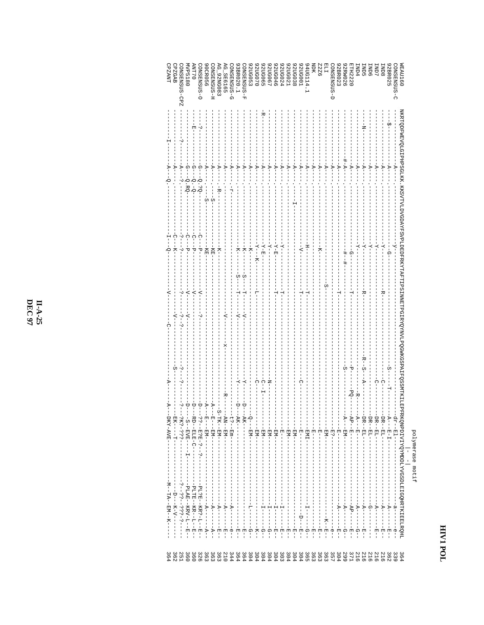## HIV1 POL

| Ö<br>۳ļ<br>$\overline{A}$<br>Ļ<br>P<br>P<br>C<br>$---ccc-23c$<br>$-S$ - $EVE$ - $E$<br>--25円2日-2-<br>$E$ – – $E$ M – – – –<br>因---因Z--<br><b>TK--FM------</b><br>$AN--N---$<br>t?--Em--<br>$AK---$ -<br>$AK-----$<br>$Q--EM---$<br>--HN------<br>$  \overline{E}$ $M$ $ -$<br>--因M----<br>$-EMH -$<br>田 — — — —<br>$EM - -$<br>因 - - - - - -<br>I<br>ن-<br>ا<br>Ť<br>- - - - - - - D - - - - K - V - - - - - - -<br>Ţ<br>$\frac{1}{1}$<br>- - PL-2 E - - KE-2 - L - - E - - -<br>- PLAR - - KKA - L - - R - -<br>$\frac{1}{1}$<br>$---A---$<br>$- - - - - - -$<br>$- -A - -$<br>$- -A$<br>$- -A - -$<br>$-1 - 1 - 1$<br>$-1 - 1 -$<br>$\frac{1}{1}$<br>$\frac{1}{1}$<br>ין<br>י<br>$\frac{1}{1}$<br>ļ<br>$\begin{array}{c} 1 \\ 1 \\ 1 \end{array}$<br>$-6 -$<br>$\frac{1}{1}$<br>$---A---$<br>$-6 - 1$<br>$-6 -$<br>$-7$<br>÷.<br>$-4$<br>中<br>!<br>Ė,<br>ا≖<br>ا<br>中<br>!<br><u>ဂုံ</u><br>È.<br>中<br>! |    | w<br>C<br>╬ | $-E-E$<br>$X - K$<br>- - - - - K<br>$\frac{1}{\sqrt{2}}$<br>Ţ<br>-kE-<br>-<br>지구<br>٣<br>ņ | Ġ<br>Ġ<br>Ω<br>$-5 - -5$<br>Q.RQ-<br>$-5.30 -$<br>$-R$<br>ÜΩ<br>S                                               | CPZGAB<br>MVP5180<br>CONSENSUS-CPZ<br>$\begin{array}{c} \mathtt{AG\_SEGI} \\ \mathtt{AG\_S2NG083} \\ \mathtt{AG\_S2NG083} \\ \mathtt{CONSEINSUS-H} \end{array}$<br>O-SOSNESNO<br><b>POCRO56</b><br>92UG067<br>92UG065<br>92UG070<br>92UG053<br>9705046<br>3BR020.1<br>D-SOSNESNO<br>20G024<br><b>BISENSUS-F</b><br>20G021 |
|------------------------------------------------------------------------------------------------------------------------------------------------------------------------------------------------------------------------------------------------------------------------------------------------------------------------------------------------------------------------------------------------------------------------------------------------------------------------------------------------------------------------------------------------------------------------------------------------------------------------------------------------------------------------------------------------------------------------------------------------------------------------------------------------------------------------------------------------------------------------------------------------------------|----|-------------|--------------------------------------------------------------------------------------------|-----------------------------------------------------------------------------------------------------------------|---------------------------------------------------------------------------------------------------------------------------------------------------------------------------------------------------------------------------------------------------------------------------------------------------------------------------|
|                                                                                                                                                                                                                                                                                                                                                                                                                                                                                                                                                                                                                                                                                                                                                                                                                                                                                                            |    |             |                                                                                            |                                                                                                                 |                                                                                                                                                                                                                                                                                                                           |
|                                                                                                                                                                                                                                                                                                                                                                                                                                                                                                                                                                                                                                                                                                                                                                                                                                                                                                            |    |             |                                                                                            |                                                                                                                 |                                                                                                                                                                                                                                                                                                                           |
|                                                                                                                                                                                                                                                                                                                                                                                                                                                                                                                                                                                                                                                                                                                                                                                                                                                                                                            |    |             |                                                                                            |                                                                                                                 |                                                                                                                                                                                                                                                                                                                           |
|                                                                                                                                                                                                                                                                                                                                                                                                                                                                                                                                                                                                                                                                                                                                                                                                                                                                                                            |    |             |                                                                                            |                                                                                                                 |                                                                                                                                                                                                                                                                                                                           |
|                                                                                                                                                                                                                                                                                                                                                                                                                                                                                                                                                                                                                                                                                                                                                                                                                                                                                                            |    |             |                                                                                            |                                                                                                                 |                                                                                                                                                                                                                                                                                                                           |
|                                                                                                                                                                                                                                                                                                                                                                                                                                                                                                                                                                                                                                                                                                                                                                                                                                                                                                            |    |             |                                                                                            |                                                                                                                 |                                                                                                                                                                                                                                                                                                                           |
|                                                                                                                                                                                                                                                                                                                                                                                                                                                                                                                                                                                                                                                                                                                                                                                                                                                                                                            |    |             |                                                                                            |                                                                                                                 |                                                                                                                                                                                                                                                                                                                           |
|                                                                                                                                                                                                                                                                                                                                                                                                                                                                                                                                                                                                                                                                                                                                                                                                                                                                                                            |    |             |                                                                                            |                                                                                                                 |                                                                                                                                                                                                                                                                                                                           |
|                                                                                                                                                                                                                                                                                                                                                                                                                                                                                                                                                                                                                                                                                                                                                                                                                                                                                                            |    |             |                                                                                            |                                                                                                                 |                                                                                                                                                                                                                                                                                                                           |
|                                                                                                                                                                                                                                                                                                                                                                                                                                                                                                                                                                                                                                                                                                                                                                                                                                                                                                            |    |             |                                                                                            |                                                                                                                 |                                                                                                                                                                                                                                                                                                                           |
|                                                                                                                                                                                                                                                                                                                                                                                                                                                                                                                                                                                                                                                                                                                                                                                                                                                                                                            |    |             |                                                                                            |                                                                                                                 |                                                                                                                                                                                                                                                                                                                           |
|                                                                                                                                                                                                                                                                                                                                                                                                                                                                                                                                                                                                                                                                                                                                                                                                                                                                                                            |    |             |                                                                                            |                                                                                                                 |                                                                                                                                                                                                                                                                                                                           |
|                                                                                                                                                                                                                                                                                                                                                                                                                                                                                                                                                                                                                                                                                                                                                                                                                                                                                                            |    |             |                                                                                            |                                                                                                                 |                                                                                                                                                                                                                                                                                                                           |
|                                                                                                                                                                                                                                                                                                                                                                                                                                                                                                                                                                                                                                                                                                                                                                                                                                                                                                            |    |             |                                                                                            |                                                                                                                 |                                                                                                                                                                                                                                                                                                                           |
|                                                                                                                                                                                                                                                                                                                                                                                                                                                                                                                                                                                                                                                                                                                                                                                                                                                                                                            |    |             |                                                                                            |                                                                                                                 |                                                                                                                                                                                                                                                                                                                           |
|                                                                                                                                                                                                                                                                                                                                                                                                                                                                                                                                                                                                                                                                                                                                                                                                                                                                                                            |    |             |                                                                                            |                                                                                                                 |                                                                                                                                                                                                                                                                                                                           |
|                                                                                                                                                                                                                                                                                                                                                                                                                                                                                                                                                                                                                                                                                                                                                                                                                                                                                                            |    |             |                                                                                            |                                                                                                                 |                                                                                                                                                                                                                                                                                                                           |
|                                                                                                                                                                                                                                                                                                                                                                                                                                                                                                                                                                                                                                                                                                                                                                                                                                                                                                            |    |             |                                                                                            |                                                                                                                 |                                                                                                                                                                                                                                                                                                                           |
|                                                                                                                                                                                                                                                                                                                                                                                                                                                                                                                                                                                                                                                                                                                                                                                                                                                                                                            |    |             |                                                                                            |                                                                                                                 |                                                                                                                                                                                                                                                                                                                           |
|                                                                                                                                                                                                                                                                                                                                                                                                                                                                                                                                                                                                                                                                                                                                                                                                                                                                                                            |    |             |                                                                                            |                                                                                                                 | 920G001<br>920G038                                                                                                                                                                                                                                                                                                        |
|                                                                                                                                                                                                                                                                                                                                                                                                                                                                                                                                                                                                                                                                                                                                                                                                                                                                                                            |    |             | Ŧ                                                                                          |                                                                                                                 | AUGI14                                                                                                                                                                                                                                                                                                                    |
| ÷<br>F                                                                                                                                                                                                                                                                                                                                                                                                                                                                                                                                                                                                                                                                                                                                                                                                                                                                                                     |    |             |                                                                                            |                                                                                                                 |                                                                                                                                                                                                                                                                                                                           |
| 因 - - - - - -<br>------                                                                                                                                                                                                                                                                                                                                                                                                                                                                                                                                                                                                                                                                                                                                                                                                                                                                                    |    |             |                                                                                            |                                                                                                                 |                                                                                                                                                                                                                                                                                                                           |
| <b>EM-----</b>                                                                                                                                                                                                                                                                                                                                                                                                                                                                                                                                                                                                                                                                                                                                                                                                                                                                                             |    | m           |                                                                                            |                                                                                                                 |                                                                                                                                                                                                                                                                                                                           |
| $-1$<br>$-0$<br>$-1$                                                                                                                                                                                                                                                                                                                                                                                                                                                                                                                                                                                                                                                                                                                                                                                                                                                                                       |    |             |                                                                                            |                                                                                                                 | d-SnSMasnop                                                                                                                                                                                                                                                                                                               |
| $-1$ H $-1$ $-1$ $-1$<br>$- - - - - - - -$<br>$\begin{array}{c}   \\   \\   \end{array}$<br>中<br>-                                                                                                                                                                                                                                                                                                                                                                                                                                                                                                                                                                                                                                                                                                                                                                                                         |    |             |                                                                                            |                                                                                                                 |                                                                                                                                                                                                                                                                                                                           |
| $\mathbf{A}---\mathbf{E}\mathbf{M}----$<br>$--\mathbf{A}--$                                                                                                                                                                                                                                                                                                                                                                                                                                                                                                                                                                                                                                                                                                                                                                                                                                                | w  |             |                                                                                            | # – #-                                                                                                          | ETH2220<br>92RW026<br>92BR023                                                                                                                                                                                                                                                                                             |
| PQ-<br>$---AP - - -$<br>$\frac{1}{1}$<br>۴ļ                                                                                                                                                                                                                                                                                                                                                                                                                                                                                                                                                                                                                                                                                                                                                                                                                                                                | ᡃᡉ |             |                                                                                            | ⊅                                                                                                               |                                                                                                                                                                                                                                                                                                                           |
| ᄷ<br>$A----E---T$<br>$-Y -$<br>$- - - - - - - -$                                                                                                                                                                                                                                                                                                                                                                                                                                                                                                                                                                                                                                                                                                                                                                                                                                                           |    |             |                                                                                            |                                                                                                                 |                                                                                                                                                                                                                                                                                                                           |
| ∀−<br>$D R - - E L - -$<br>$---A--$<br>$\frac{1}{1}$<br>۲<br>ا                                                                                                                                                                                                                                                                                                                                                                                                                                                                                                                                                                                                                                                                                                                                                                                                                                             | C  |             |                                                                                            |                                                                                                                 |                                                                                                                                                                                                                                                                                                                           |
| DR--EL-E----<br>$\frac{1}{1}$                                                                                                                                                                                                                                                                                                                                                                                                                                                                                                                                                                                                                                                                                                                                                                                                                                                                              |    |             |                                                                                            |                                                                                                                 |                                                                                                                                                                                                                                                                                                                           |
| Ō<br>---------<br>$\frac{1}{1}$<br>⊭<br>⊦                                                                                                                                                                                                                                                                                                                                                                                                                                                                                                                                                                                                                                                                                                                                                                                                                                                                  |    |             | ř                                                                                          |                                                                                                                 |                                                                                                                                                                                                                                                                                                                           |
| G<br>DR--EL-F----<br>$- - \Delta - - -$<br>۴ļ                                                                                                                                                                                                                                                                                                                                                                                                                                                                                                                                                                                                                                                                                                                                                                                                                                                              |    |             |                                                                                            |                                                                                                                 |                                                                                                                                                                                                                                                                                                                           |
| $A--E--E----$<br>$------P$<br>$\frac{1}{1}$<br>۲<br>ا                                                                                                                                                                                                                                                                                                                                                                                                                                                                                                                                                                                                                                                                                                                                                                                                                                                      | ÜΩ |             |                                                                                            |                                                                                                                 | 92BR025                                                                                                                                                                                                                                                                                                                   |
| $qr - -1 = 1 - - -$<br>KQNPDIVIYQYMDDLYVGSDLEIGQHRTKIEELRQHL<br>ወ<br> <br>                                                                                                                                                                                                                                                                                                                                                                                                                                                                                                                                                                                                                                                                                                                                                                                                                                 |    |             |                                                                                            | NKRTZDEN NAGI PHEPSGLKK. KKSYTVLDVGDA YFSYPLOPREK YTAFTLPS INNED FREK YTAFTLE STANDOWNG SAFFLORW SENTLED SONTLE | CONSENSUS-C<br><b>VEAU160</b>                                                                                                                                                                                                                                                                                             |

#### $\frac{H-A-25}{\text{DEC 97}}$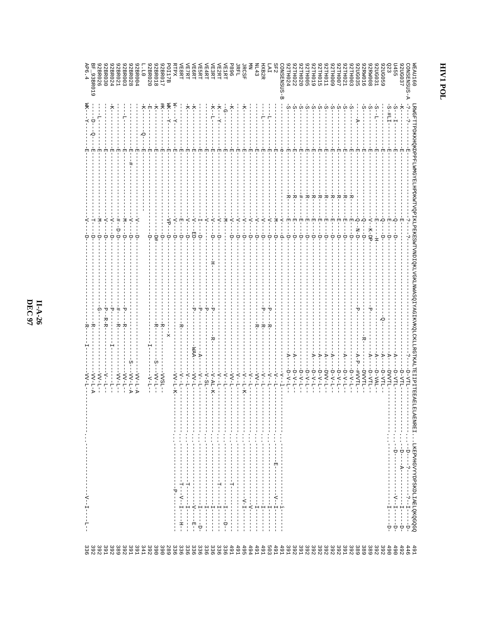|                                                                                                                                                                                                                                                                                                                                                                                                                                  | $W-L-A$                                        | ∪                             | 부<br>ဂု<br>固      | BF 93BR019         |
|----------------------------------------------------------------------------------------------------------------------------------------------------------------------------------------------------------------------------------------------------------------------------------------------------------------------------------------------------------------------------------------------------------------------------------|------------------------------------------------|-------------------------------|-------------------|--------------------|
|                                                                                                                                                                                                                                                                                                                                                                                                                                  | $-NV-L--$                                      | $\frac{1}{2}$<br>∪            | خ<br>آ<br>団       |                    |
|                                                                                                                                                                                                                                                                                                                                                                                                                                  |                                                | Ω                             |                   | 92BR026            |
|                                                                                                                                                                                                                                                                                                                                                                                                                                  | -R-R<br>$-4 - 7 - -1 - -1$                     | $\overline{z}$<br>p<br>۳J     | 団                 | 92BR030            |
|                                                                                                                                                                                                                                                                                                                                                                                                                                  | $-1 -$                                         | ∻<br>∪<br>д                   | 固                 | 92BR024            |
|                                                                                                                                                                                                                                                                                                                                                                                                                                  | ᆽ<br>$-NV-L-$                                  | $+$<br>U<br>∪<br>#            | 固                 | 92BR021            |
|                                                                                                                                                                                                                                                                                                                                                                                                                                  | ₩<br>$-NV$ -L- $-$                             | ≒<br>≍<br>p<br>ъ              | 固                 | 2BR003             |
|                                                                                                                                                                                                                                                                                                                                                                                                                                  | C<br>$-NV-L-A$                                 | $\overline{\zeta}$<br>Ů       | 団<br>♯            | 92BR028            |
|                                                                                                                                                                                                                                                                                                                                                                                                                                  | $N - 1 - N$                                    | $\leq$<br>∪                   | 団                 | 92BR004            |
|                                                                                                                                                                                                                                                                                                                                                                                                                                  |                                                |                               | ó,                |                    |
|                                                                                                                                                                                                                                                                                                                                                                                                                                  |                                                |                               | 団                 | .<br>5             |
|                                                                                                                                                                                                                                                                                                                                                                                                                                  | $-\Delta - \Gamma -$                           | ∪                             | 団                 | 3BR020             |
|                                                                                                                                                                                                                                                                                                                                                                                                                                  | ⊬<br>ا<br>S<br>$-\Delta\Delta-1$ – $-\Delta$ – | $\frac{1}{2}$                 | 団                 | SBR018             |
|                                                                                                                                                                                                                                                                                                                                                                                                                                  | ÷<br>⊤<br>$-MSIN -$                            | 부                             | 団                 | 2BR017             |
|                                                                                                                                                                                                                                                                                                                                                                                                                                  | ×.                                             | Ś<br>Ů                        | ÷<br>団            | BLIID <sub>C</sub> |
| $- -p - -$<br>L<br>Ţ.<br>Ť                                                                                                                                                                                                                                                                                                                                                                                                       | $N - T - N$                                    | ⊰<br>U                        | $-K-$<br>団        | KATS               |
| Ť<br>J.<br>$\begin{array}{c} \frac{1}{2} & \frac{1}{2} \\ \frac{1}{2} & \frac{1}{2} \end{array}$<br>$-1$                                                                                                                                                                                                                                                                                                                         | ᆽ<br>$-\Delta$ – $-\Delta$ –                   | 훠<br>p                        | 団                 | <b>VESRT</b>       |
| ł<br>$\frac{1}{2}$                                                                                                                                                                                                                                                                                                                                                                                                               | $-\Delta - -1$                                 | $-\Delta$<br>Ų                | 固                 | VE7RT              |
| $- \frac{1}{2}$                                                                                                                                                                                                                                                                                                                                                                                                                  | <b>NAA</b> -<br>$-N-T$ -                       | $\overline{a}$<br>팀<br>ᠣ      | 固                 | <b>VEGRT</b>       |
|                                                                                                                                                                                                                                                                                                                                                                                                                                  | $-\Delta$ - $-\Delta$ -                        | H<br>∪<br>д                   | 団                 | <b>VESRT</b>       |
|                                                                                                                                                                                                                                                                                                                                                                                                                                  | $-V-SI$                                        | ⊰<br>д                        | 固                 | VE4RT              |
|                                                                                                                                                                                                                                                                                                                                                                                                                                  | $-\Delta T$                                    | ₹<br>∪<br>ᡃ                   |                   | VE3RT              |
| $\begin{split} -\mathbf{q} & = \mathbf{q} - \mathbf{q} - \mathbf{q} - \mathbf{q} - \mathbf{q} - \mathbf{q} - \mathbf{q} - \mathbf{q} - \mathbf{q} - \mathbf{q} - \mathbf{q} - \mathbf{q} - \mathbf{q} - \mathbf{q} - \mathbf{q} - \mathbf{q} - \mathbf{q} - \mathbf{q} - \mathbf{q} - \mathbf{q} - \mathbf{q} - \mathbf{q} - \mathbf{q} - \mathbf{q} - \mathbf{q} - \mathbf{q} - \mathbf{q} - \mathbf{q} - \mathbf{q} - \mathbf$ | $-\Delta - -1$                                 | ∻<br>੮                        | 団                 | VE2RT              |
|                                                                                                                                                                                                                                                                                                                                                                                                                                  | $-\Delta - -1$                                 | −N                            | 固                 | <b>VEIRT</b>       |
|                                                                                                                                                                                                                                                                                                                                                                                                                                  |                                                |                               | 団                 | <b>P896</b>        |
| $\frac{1}{1}$<br>ΞÎ.<br>$\frac{1}{2}$<br>$\frac{1}{1}$<br>$\frac{1}{1}$<br>$\frac{1}{1}$<br>$\frac{1}{1}$                                                                                                                                                                                                                                                                                                                        | $-NV$ – $V$ –<br>$-\Delta - -1$                | $\overline{z}$<br>₹<br>∀<br>U | 団                 | <b>TRFL</b>        |
| $\frac{1}{1}$<br>$\frac{1}{2}$<br>ŧ<br>$\frac{1}{1}$                                                                                                                                                                                                                                                                                                                                                                             |                                                |                               |                   |                    |
| $\begin{array}{c} \hline \end{array}$<br>$\mathbf{I}$<br>-1<br>$\ddot{\cdot}$<br>$\frac{1}{4}$<br>$\mathsf I$<br>$\frac{1}{1}$<br>Ţ<br>$- - - - - - - - - -$<br>$\frac{1}{1}$                                                                                                                                                                                                                                                    | $-\Delta - -1$                                 | $\dot{\leq}$<br>∪<br>∪        | 固<br>固            | <b>JRCSF</b>       |
| Ť<br>$\mathsf I$<br>$\mathsf I$                                                                                                                                                                                                                                                                                                                                                                                                  | $-\Delta - -1 -$                               | ∻                             |                   | Ź                  |
| ł<br>$\vdots$<br>$\frac{1}{4}$<br>$\frac{1}{1}$                                                                                                                                                                                                                                                                                                                                                                                  | ₩<br>$-NV-I$ -                                 | $-\Delta$<br>∪                | 団                 | $M_{\rm L}$ 43     |
| $\frac{1}{1}$                                                                                                                                                                                                                                                                                                                                                                                                                    | ₩<br>$-\Delta - -1$                            | ≺<br>∪<br>Д                   | 団                 | HXB2R              |
| $\frac{1}{1}$                                                                                                                                                                                                                                                                                                                                                                                                                    | ᆽ<br>$V - T -$                                 | ≺<br>U<br>д                   | 団                 | F                  |
| I<br>$\frac{1}{4}$<br>E<br>F<br>$- -1 - \Delta - -1 = -$<br>L<br>ŧ                                                                                                                                                                                                                                                                                                                                                               | $-\Delta - -1$                                 | ż<br>∪                        | 団                 | <b>EZ</b>          |
| $\frac{1}{1}$<br>$\mathbf{I}$<br>J.<br>$\mathbf{I}$                                                                                                                                                                                                                                                                                                                                                                              | $-1 - 1 -$                                     | 4<br>ρ                        | Œ                 | CONSENSUS          |
|                                                                                                                                                                                                                                                                                                                                                                                                                                  | $-7 - \Lambda - 1 -$                           | や<br>団<br>∀                   | က်<br>固           | <b>PZOHLZ6</b>     |
|                                                                                                                                                                                                                                                                                                                                                                                                                                  | $D - C - D - - - -$                            | ÷<br>⊦<br>団<br>∪              | ς-<br>団           | 37H1022            |
|                                                                                                                                                                                                                                                                                                                                                                                                                                  | $D-Y-LI$ -                                     | $\ddot{\ddagger}$<br>団<br>∪   |                   | <b>2TH020</b>      |
|                                                                                                                                                                                                                                                                                                                                                                                                                                  | $D - V - I -$                                  | خ<br>ا<br>団<br>∪              | C)<br>団           | <b>2THOO5</b>      |
|                                                                                                                                                                                                                                                                                                                                                                                                                                  | ⊅<br>$D - \Lambda - \Gamma -$                  | $\frac{1}{\lambda}$<br>固<br>∀ | C<br>固            | ST0HLZ             |
|                                                                                                                                                                                                                                                                                                                                                                                                                                  | ⊅<br>$D - V - I -$                             | ÷<br>⊢<br>団<br>∪              | S<br>固            | ST0HLZ             |
|                                                                                                                                                                                                                                                                                                                                                                                                                                  | D<br>$DVV-L-L-$                                | ÷<br>⊢<br>団<br>∪              | S<br>団            | SZHIO11            |
|                                                                                                                                                                                                                                                                                                                                                                                                                                  | $-7 - 4 - 1$                                   | خ<br>۲<br>団<br>∪              | 団                 | <b>600HLZ</b>      |
|                                                                                                                                                                                                                                                                                                                                                                                                                                  | $D-V-L$ -L                                     | ᄫ<br>固<br>∪                   | S<br>固            | <b>ZTHOO7</b>      |
|                                                                                                                                                                                                                                                                                                                                                                                                                                  | ∀−<br>$-7 - 4 - 1$                             | ÷<br>⊢<br>団<br>U              | w<br>団            | <b>ZTHO21</b>      |
|                                                                                                                                                                                                                                                                                                                                                                                                                                  | $D - V - I -$                                  | ÷<br>T<br>団<br>Ų              | S<br>団            | <b>2TH003</b>      |
|                                                                                                                                                                                                                                                                                                                                                                                                                                  | ٣<br>Δ<br>+TLLAA#                              | Ю<br>N-D                      | 団                 | 20G035             |
|                                                                                                                                                                                                                                                                                                                                                                                                                                  | <b>DVVTLL-</b>                                 | Ю<br>U                        | 固                 | 2RW016             |
|                                                                                                                                                                                                                                                                                                                                                                                                                                  | ъ<br>$-111$ $-0$                               | ⊲<br>K-DP                     | 固                 | <b>2RW008</b>      |
|                                                                                                                                                                                                                                                                                                                                                                                                                                  | Ъ<br>$-14V$                                    | 団<br>$\frac{1}{2}$            | S<br>Ļ<br>団       | 20G031             |
|                                                                                                                                                                                                                                                                                                                                                                                                                                  | Ò<br>ъ<br>$-111$ $-0$                          | Ю<br>ė                        | 固                 | SUG059             |
|                                                                                                                                                                                                                                                                                                                                                                                                                                  | ⊅<br><b>LTVVII</b>                             |                               |                   |                    |
| $\mathsf I$<br>$\frac{1}{1}$<br>$-\frac{1}{\sqrt{2}}$                                                                                                                                                                                                                                                                                                                                                                            |                                                | 団<br>Ю<br>Ģ                   | <b>IT#+S</b><br>団 | 223                |
| $\begin{split} -a &=-1, &\quad -1, &\quad -1, &\quad -1, &\quad -1, &\quad -1, &\quad -1, &\quad -1, &\quad -1, &\quad -1, &\quad -1, &\quad -1, &\quad -1, &\quad -1, &\quad -1, &\quad -1, &\quad -1, &\quad -1, &\quad -1, &\quad -1, &\quad -1, &\quad -1, &\quad -1, &\quad -1, &\quad -1, &\quad -1, &\quad -1, &\quad -1, &\quad -1, &\quad -1, &\quad -1, &\quad -1, &\quad -1, &\quad -1, &\quad -1, &\quad -1$         | D-VTL                                          | p                             | 団                 | <b>U455</b>        |
|                                                                                                                                                                                                                                                                                                                                                                                                                                  | <b>LTTV</b>                                    |                               | 団                 | 920G037            |
|                                                                                                                                                                                                                                                                                                                                                                                                                                  | D-VTL                                          |                               | 卤                 | CONSENSUS          |

#### $\frac{H-A-26}{\text{DEC~97}}$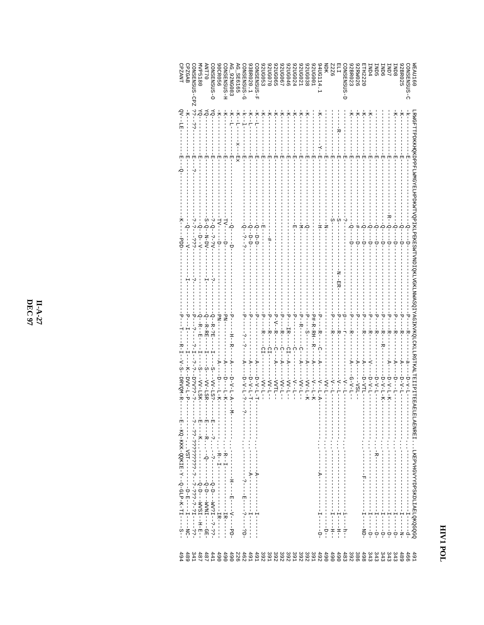# TOd IAIH

| +k<br>–R−<br>۳<br>$-4-$<br>$\frac{1}{2}$<br>ーローターコ<br>$-D - N - T - K -$<br>$D - V - I - -I$ | $-1$ - - - - - - - - - - -<br>$-1$ - $-1$ - $-1$ - $-1$<br>343<br>343<br>489<br>466                                                                                                                                                                                                         |
|----------------------------------------------------------------------------------------------|---------------------------------------------------------------------------------------------------------------------------------------------------------------------------------------------------------------------------------------------------------------------------------------------|
|                                                                                              |                                                                                                                                                                                                                                                                                             |
|                                                                                              |                                                                                                                                                                                                                                                                                             |
|                                                                                              |                                                                                                                                                                                                                                                                                             |
| $-K-$<br>ロースーロードー                                                                            | $-1 -$<br>$-1 - 1 -$<br>343                                                                                                                                                                                                                                                                 |
| $-K -$<br>$-1 - 1 - 1 - 1$                                                                   | $-1 - R - 1$<br>$-1 -$<br>$-1$ - $-1$<br>343                                                                                                                                                                                                                                                |
| −R−<br>$\overline{\zeta}$<br>$-D - V - I - -$                                                | $-1 - 1 -$<br>$-1$ - $-1$<br>343                                                                                                                                                                                                                                                            |
| $\mathbb{F}$                                                                                 | $\frac{1}{1}$<br>$-1 - 1 - -$<br>$-$ CM $-$<br>498                                                                                                                                                                                                                                          |
| $-4-$<br>$-TS\Lambda$ -                                                                      | 386                                                                                                                                                                                                                                                                                         |
| ⊅                                                                                            | 392                                                                                                                                                                                                                                                                                         |
| $-\Delta - -1$<br>$\begin{array}{c} 1 \\ 1 \\ 2 \end{array}$                                 | $-1$ - $-1$ - $-1$ - $-1$<br>483                                                                                                                                                                                                                                                            |
| ℸ<br>$-R$                                                                                    | $-1 -$<br>$- H -$<br>490                                                                                                                                                                                                                                                                    |
| - k-<br>$-\Lambda--\Gamma--$                                                                 | 490                                                                                                                                                                                                                                                                                         |
| $-NV-I$ -                                                                                    | $\begin{bmatrix} 1 \\ 1 \\ 1 \end{bmatrix}$<br>$-1 - 1 -$                                                                                                                                                                                                                                   |
| م<br>Þ                                                                                       | --A--<br>$-1$ - $-1$ - $-1$ - $-1$<br>$490$<br>$492$                                                                                                                                                                                                                                        |
| ÷<br>⊢<br>$-\nabla$ -                                                                        | 391                                                                                                                                                                                                                                                                                         |
| $-5-$<br>♭                                                                                   |                                                                                                                                                                                                                                                                                             |
| 남<br> <br>ု<br>- A-                                                                          | 392                                                                                                                                                                                                                                                                                         |
| Ω<br>$-\Delta - -1$                                                                          | 391                                                                                                                                                                                                                                                                                         |
| $C1 - -R$<br>$-1 - 1 - 1$                                                                    | 392                                                                                                                                                                                                                                                                                         |
| .<br>- 보<br>$\overline{C}$<br>$-4-$<br>$-NV-I$ -                                             |                                                                                                                                                                                                                                                                                             |
| $-5 - 7 - 4$<br>Ģ<br>$-\nabla$ -<br>$-\Delta\Delta\Delta\tau$                                | 392                                                                                                                                                                                                                                                                                         |
| –R−<br>CI-<br>$-1 - 1 - N$                                                                   | 391                                                                                                                                                                                                                                                                                         |
| ᡃ<br>CI-<br>$-\Delta\Delta - \Gamma$ -                                                       | 392                                                                                                                                                                                                                                                                                         |
| $-D - \Lambda - 1$                                                                           | --- A---<br>491                                                                                                                                                                                                                                                                             |
| $\ddot{A}$<br>$L - T - \Lambda - T - L$                                                      | . - - - - - - - - - - - - - -<br>J<br>491                                                                                                                                                                                                                                                   |
| $-4-$<br>$-7 - 7 - 7 - 5$<br>٠.,                                                             | $-1 - 1 - -1$<br>- - E - - - - - - - - - 2 D -                                                                                                                                                                                                                                              |
|                                                                                              | 462<br>226                                                                                                                                                                                                                                                                                  |
| $H--R$<br>- アーーーーワーベー ローアーー                                                                  | $\frac{1}{2}$ : $\frac{1}{2}$ : $\frac{1}{2}$<br>- - H - - - - - E - - - - V - - - - P D -<br>490                                                                                                                                                                                           |
| 모<br>기<br><b>アーー ーーローーー ビーズーー</b>                                                            | $-1$ $-1$ $-1$ $-1$ $-1$<br>490                                                                                                                                                                                                                                                             |
| $-Md$                                                                                        | $-1 - 1 - 1 - 1 - 1$<br>490                                                                                                                                                                                                                                                                 |
| ू<br>स<br>S<br>-W-L55                                                                        | $-2 - 1 - 2 - 5 - 5 - 5 - 5 - 5 - 5$<br>441                                                                                                                                                                                                                                                 |
| w                                                                                            | 487                                                                                                                                                                                                                                                                                         |
| w                                                                                            | 487                                                                                                                                                                                                                                                                                         |
| ᡃ<br>$\mathsf I$<br>$\frac{1}{1}$<br>$-1 - 1 - 1$<br>ن-<br>ل-                                | 341                                                                                                                                                                                                                                                                                         |
| קי<br>$-K$<br>$DVD-L-1$<br>ł                                                                 | 489                                                                                                                                                                                                                                                                                         |
|                                                                                              |                                                                                                                                                                                                                                                                                             |
| $V-S$<br>DRVQM-R                                                                             | - E - - K Q - K K K - QQ K I E - K - - Q - G L P - K - H I - - - - - - - - - -<br>494                                                                                                                                                                                                       |
|                                                                                              | $Q$ --R-H<br>$Q$ --R-<br>$Q$ --R--E<br>P#-R-RH--<br>$-{\bf B}$ $-$<br>÷<br>ا<br>۳<br>$-VV$ -LSR<br>-D3V33-3<br>$-4 - 7 - 1 - -5$<br>$-7L\Lambda$ -C<br>$-VV$ -LSK<br>$-\Delta - -1$<br>$-\Lambda$ – $-\Gamma$ – $\Lambda$ –<br>$-NV-L-K$<br>$-N$ -T-T<br>$W-L-$<br>$K - K$<br>$\frac{1}{2}$ |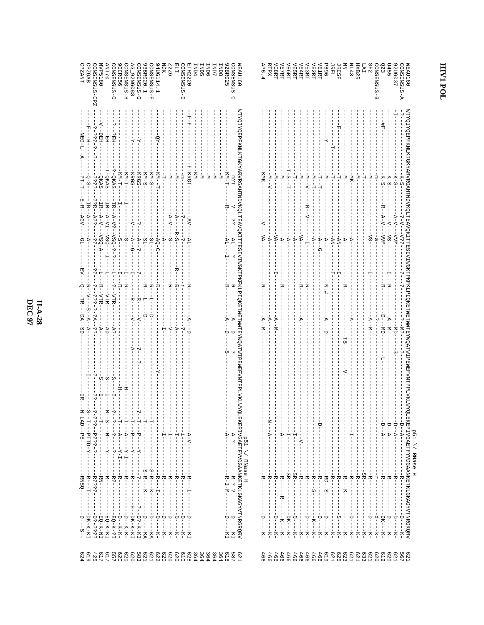#### $\frac{H-A-28}{\text{DEC } 97}$

| SQNSENSUS-CPZ<br>핀<br>ij<br>节<br>먹<br>$-252 - 7$<br>-HEL-<br><b>HH2</b><br>白耳<br>$-55-$<br>Τ,<br>Ķ<br>F-KRGT<br>T-QKAS-<br>$T-S-$<br>$3 - QKAS$<br>$KM-S-$<br>KM-T-<br>KRGS.<br><b>KN--T-</b><br>KRGS.<br>$KM-S$<br>KM-T-<br>KM<br>KM-T.<br>$-M-$<br>$-M-$<br><b>KIMK</b><br>$\frac{1}{2}$<br>÷<br>$-1$ $\overline{N}$<br>"≍<br>่≾<br>$-N--N-$<br>—<br>⊺<br>$-N--N-$<br>$-L \cdot \text{u}$<br>÷<br>÷<br>⊰ี<br>-REK –<br>⊰ี<br>$\frac{1}{2}$<br>⊰ี่<br>Ż<br>ż<br>≑ี<br>$N-r-1$<br>부<br>쿠<br>$K-S$ .<br>QKAS-<br>けーけー<br>부<br>K-S.<br>o<br>S-S<br>icici<br>א<br>מ<br>F<br>$-842 -$<br>$I = R - R - VI - VSSQ - -$<br>$TR - -N - \nabla$<br>IR-<br>넋<br>۰J<br>전<br>$-66V$<br>$-A-V$ -<br>$A-V$ ?<br>ş<br>$A-V-$<br>AV-<br>$\ddot{\cdot}$<br>$\overline{a}$<br>⊲<br>$R-S$ .<br>$-NNN-$<br>$-VS - P - P -$<br>$-250 - 2 - 2 - 7$<br>$-NA-$<br>$-NNN$ -<br>$-SS -$<br>$-K$<br>$-\Delta$<br>$-\Delta$ -<br>$-K$<br>Š<br>$-17-$<br>$-\Delta$<br>$-A--G--$<br>$-21 - -$<br>$-90 - C$<br>$\frac{1}{1}$<br>$-MM -$<br>$-4-$<br>-9<br>$-4-$<br>C)<br>w<br>$A - 7 -$<br>$-75$<br>w<br>P<br>Þ<br>$\mathbb{Y}$<br>Ŗ<br>$\mathbb{A}$<br>$\mathbb{F}$<br>.ა<br>ს<br>$\overline{r}$<br>٠,<br>Ĕ<br>Ω<br>i<br>T<br>٠,<br>$\ddot{\ddot{\delta}}$<br>부<br>۰v<br>÷<br>$R$ – $VTR$ –<br>⊭<br>ا<br>ᆽ<br>₩<br>ᆽ<br>ᄷ<br>₩<br>겨<br>v.<br>₩<br>ᆽ<br>Н<br>ᆽ<br>ᆽ<br>ᆽ<br>ᆽ<br>$\frac{1}{2}$<br>ㅈ<br>ں.<br>!<br>지<br>$-VTY-$<br>$-23 - - 5$<br>-VTR-<br>$-4-$<br>$-\text{B}-$<br>후<br>¤−<br>투<br>$S - -R - -$<br>$\mathbb{I}$<br>$-42$<br>무<br>p<br>Ė<br>$\prec$<br>$\overline{\mathrm{A}}$ –<br>$\frac{1}{2}$<br>$\overline{r}$<br>$A - M -$<br>$A - M -$<br>$\mathbb{F}$<br>$A - M -$<br>Y<br>⊅<br>∀۔<br>⊅<br>$A -$<br>$\ddot{\phantom{0}}$<br>--<br>百<br>$-9D -$<br>$\overline{\zeta}$<br>$-EM -$<br>」<br>日<br>$\frac{1}{2}$<br>≑<br>Ъ<br>$\ddot{\cdot}$<br>Ä?<br>$\frac{1}{\sqrt{2}}$<br>Н<br>$\frac{1}{\sqrt{2}}$<br>Ų<br>귾<br>⊅<br>٠.<br>₩<br>ς<br>ပ္ပံ<br>ÜΩ<br>w<br>ャー<br>$\frac{1}{1}$<br>ن.<br>ت<br>Ţ<br>ပ္ပ<br>R-<br>$\frac{1}{1}$<br>$-23 -$<br>부<br>$-5$ -<br>$\frac{1}{2}$<br>부<br>┆<br>┆<br>$\frac{1}{1} - \frac{1}{1}$<br>$\frac{1}{1}$<br>$\frac{1}{1}$<br>$\frac{1}{1}$<br>$\overline{a}$<br>ワー<br>Ļ<br>$D - A -$<br>$\frac{1}{1}$<br>$D - A -$<br>ŧ<br>$\frac{1}{1}$<br>$\frac{1}{1}$<br>$\frac{1}{1}$<br>$\mathbf{I}$<br>$\mathbf{I}$<br>L.<br>$\blacksquare$<br>$\blacksquare$<br>$\mathbf{I}$<br>л.<br>$\blacksquare$<br>п<br>$\blacksquare$<br>$\ddot{\vec{r}}$<br>$\sum_{i=1}^{n}$<br>PTTD-Y<br>$-4$<br>$\frac{1}{2}$<br>$\overline{P}$<br>$A - 2 - - - - -$<br>$-235 -$<br>주<br>$\cdot$ v<br>$-4$<br>$A$ --<br>$\mathbf{I}$<br>$\mathbf{I}$<br>$\mathsf{H}$<br>$A-V$<br>$\overline{A}$<br>$\overline{A}$<br>$\frac{1}{2}$<br>$\frac{1}{1}$<br>п.<br>$\blacksquare$<br>$\frac{1}{1}$<br>н<br>۳.<br>$\mathbf{I}$<br>- 11<br>부<br>т<br>т<br>$\blacksquare$<br>$\mathbf{I}$<br>п<br>Ť.<br>$-4-$<br>$\mathbb T$<br>$\mathbb T$<br>p51 \/ RNase H<br>$\blacksquare$<br>I.<br>т<br>$\mathsf I$<br>Ţ<br>ŧ<br>$-7 - 1 -$<br>$- -X - -$<br>$\frac{1}{1}$<br>$\overline{\phantom{a}}$<br>$\mathsf I$<br>$\mathbf{I}$<br>$\blacksquare$<br>-1<br>$\blacksquare$<br>$\cdot$<br>$\overline{\mathbf{K}}$<br>$-2$ $-1$<br>$\overline{\mathsf{K}}$<br>т.<br>$\mathsf I$<br>$\mathbf{I}$<br>$\mathbf{I}$<br>-<br>-<br>$\mathbf{I}$<br>$\mathbb{F}$<br>$\mathsf I$<br>$\mathbb{L}$<br>$\mathbb{I}$<br>1<br>$\mathbf{I}$<br>Ĥ<br>Ĥ<br>L<br>$\mathbf{I}$<br>$\overline{\phantom{a}}$<br>$\mathbf{I}$<br>L.<br>л.<br>$\mathbf{I}$<br>Ť<br>- - - - - - - - - - - - -<br>$\mathbf{I}$<br>I.<br>$\mathbf{I}$<br>$\mathbf{I}$<br>$\mathbf{I}$<br>$\mathbf{I}$<br>п<br>л.<br>$\mathsf I$<br>$\mathsf I$<br>$\blacksquare$<br>$\overline{\phantom{a}}$<br>$S - R -$<br>$S - R - - -K - -$<br>$\mathsf I$<br>$\mathsf I$<br>$\mathsf I$<br>$\mathsf I$<br>L<br>-1<br>-R----H-<br>$-E7777 - 777$<br>$\,$ $\,$<br>$-K--$<br>$-5$<br>SR<br>$SR-$<br>$-k$ –<br>하<br>$SR -$<br>⊣<br>¤<br>$\overline{A}$<br>$-KN$ -<br>$-\mathbf{R}$ –<br>贵<br>$-K$ <sup>-</sup><br>$-K--$<br>$-\frac{1}{R}$<br>$-K-L-N-1$<br>$-BD$ -<br>Ė−−<br>$B$ ? –<br>R--<br>ᄷ<br>₩-<br>÷,<br>$-\frac{1}{2}$<br>-<br>R-----<br>$R$ – –<br>$R$ – $-$<br>-<br>В<br>В<br>Н<br>Н<br>٠.,<br>$R^{1}$<br>ᆽ<br>R-<br>ᄷ<br>R--<br>$R$ – $-$<br>$R$ – –<br>ŧ<br>$\frac{1}{1}$<br>$-7 - 1$<br>Ĥ<br>$\frac{1}{1}$<br>1<br>1<br>т<br>I<br>I<br>$\mathbf{I}$<br>Ţ<br>T<br>부<br>w<br>I.<br>w<br>Ţ<br>$\frac{1}{1}$<br>$\mathbf{I}$<br>п<br>л.<br>т.<br>$\mathbf{I}$<br>L.<br>п<br>$\mathbf{I}$<br>т.<br>$\mathbf{I}$<br>$\blacksquare$<br>$\mathbf{I}$<br>$\mathbf{I}$<br>п<br>$\mathbf{I}$<br>L.<br>-<br>$\mathbf{I}$<br>÷<br>−−<br>$\blacksquare$<br>л.<br>п<br>Ť.<br>Τ.<br>$\mathbf{I}$<br>$\mathbf{I}$<br>п<br>$\,$ I<br>$\blacksquare$<br>$\frac{1}{2}$<br>J.<br>$\overline{\phantom{a}}$<br>Ţ<br>п<br>Ţ.<br>Ţ<br>т<br>т<br>ł<br>$\frac{1}{1}$<br>$\frac{1}{1}$<br>$\frac{1}{1}$<br>$-1 - 0 - -$<br>$\frac{1}{1}$<br>$\frac{1}{1}$<br>$\mathbf{I}$<br>J.<br>Ť<br>Ť<br>$\blacksquare$<br>ł<br>-<br>$\frac{1}{1}$<br>Ť<br>$\mathbf{I}$<br>Ť<br>т.<br>-<br>$\mathbf{I}$<br>ŧ<br>$\mathbf{I}$<br>Ť<br>Ť.<br>Ť<br>Ť<br>j.<br>$\mathsf I$<br>$\mathbf{I}$<br>Τ.<br>$\mathsf I$<br>DK-K-KT<br>23-333<br>$\frac{1}{2}$<br>$\frac{1}{2}$<br>Ġ<br>$\frac{1}{2}$<br>$\frac{1}{1}$<br>$-\frac{1}{2}$<br>p<br>$\frac{a}{1}$<br>$-\frac{1}{2}$<br>Ļ<br>h<br>ņ<br>$\frac{1}{4}$<br>$D$ ---<br>$-1$ - $-1$<br>Ļ<br>$\mathbb{L}$<br>w<br>$\mathbb T$<br>$-1$<br>$D$ ---<br>Ļ<br>Ļ<br>$-1 - 1$<br>$-1$<br>T<br>$-7$<br>$\mathbf{I}$<br>$\mathsf I$<br>J<br>$\mathbf{I}$<br>$\blacksquare$<br>$\overline{1}$<br>$\mathbf{I}$<br>Ţ<br>Ţ<br>J.<br>$\mathbf{I}$<br>J.<br>$\overline{\phantom{a}}$<br>j.<br>$\frac{1}{1}$<br>т<br>-1<br>J<br>п<br>j. |  |  |  |
|---------------------------------------------------------------------------------------------------------------------------------------------------------------------------------------------------------------------------------------------------------------------------------------------------------------------------------------------------------------------------------------------------------------------------------------------------------------------------------------------------------------------------------------------------------------------------------------------------------------------------------------------------------------------------------------------------------------------------------------------------------------------------------------------------------------------------------------------------------------------------------------------------------------------------------------------------------------------------------------------------------------------------------------------------------------------------------------------------------------------------------------------------------------------------------------------------------------------------------------------------------------------------------------------------------------------------------------------------------------------------------------------------------------------------------------------------------------------------------------------------------------------------------------------------------------------------------------------------------------------------------------------------------------------------------------------------------------------------------------------------------------------------------------------------------------------------------------------------------------------------------------------------------------------------------------------------------------------------------------------------------------------------------------------------------------------------------------------------------------------------------------------------------------------------------------------------------------------------------------------------------------------------------------------------------------------------------------------------------------------------------------------------------------------------------------------------------------------------------------------------------------------------------------------------------------------------------------------------------------------------------------------------------------------------------------------------------------------------------------------------------------------------------------------------------------------------------------------------------------------------------------------------------------------------------------------------------------------------------------------------------------------------------------------------------------------------------------------------------------------------------------------------------------------------------------------------------------------------------------------------------------------------------------------------------------------------------------------------------------------------------------------------------------------------------------------------------------------------------------------------------------------------------------------------------------------------------------------------------------------------------------------------------------------------------------------------------------------------------------------------------------------------------------------------------------------------------------------------------------------------------------------------------------------------------------------------------------------------------------------------------------------------------------------------------------------------------------------------------------------------------------------------------------------------------------------------------------------------------------------------------------------------------------------------------------------------------------------------------------------------------------------------------------------------------------------------------------------------------------------------------------------------------------------------------------------------------------------------------------------------------------------------------------------------------------------------------------------------------------------------------------------------------------------------------------------------------------------------------------------------------------------------------------------------------------------------------------------------------------------------------------------------------------------------------------------------------------------------------------------------------------------------------------------------------------------------------------------------------------------------------------------------------------------------------------------------------------------------------------------------------------------------------------------------------------------------------------------------------------------------------------------------------------------------------------------------------------------------------------------------------------------------------------------------------------------------------------------------------------------------|--|--|--|
| EKEPI VGAETFYVDGAANKETKLGKAGYVTNRGRORV<br>$-H$ - $-H$ - $-H$<br>$-1 - K - 1 - K -$<br>$-10x - 1$<br>EQ-K-NI<br>EQ-K-KI<br>$D - -R - R - R - R$<br>$-1 - K - K -$<br>$D7 - K - K I$<br>$DK---K-$<br>$EQ-K-2I$<br>$-3i - -1$<br>$-$ KA<br>$-K -$<br>$-K -$<br>$-K -$<br>$-K -$<br>$-1K -$<br>$-1K -$<br>$-$ KA<br>$-X -$<br>$-X -$<br>$-K -$<br>$-KI$<br>$-K-$<br>$-K -$<br>$-K -$<br>$- K -$<br>$\frac{1}{7}$<br>$\frac{1}{2}$<br>$\overline{X}$<br>$\ddot{\tilde{\lambda}}$<br>Κ-<br>KI<br>ΚI<br>$\frac{1}{\lambda}$<br>₹,<br>$\overline{K}$<br>$\frac{1}{\gamma}$<br>추<br>Κ-                                                                                                                                                                                                                                                                                                                                                                                                                                                                                                                                                                                                                                                                                                                                                                                                                                                                                                                                                                                                                                                                                                                                                                                                                                                                                                                                                                                                                                                                                                                                                                                                                                                                                                                                                                                                                                                                                                                                                                                                                                                                                                                                                                                                                                                                                                                                                                                                                                                                                                                                                                                                                                                                                                                                                                                                                                                                                                                                                                                                                                                                                                                                                                                                                                                                                                                                                                                                                                                                                                                                                                                                                                                                                                                                                                                                                                                                                                                                                                                                                                                                                                                                                                                                                                                                                                                                                                                                                                                                                                                                                                                                                                                                                                                                                                                                                                                                                                                                                                                                                                                                                                                                                                     |  |  |  |
|                                                                                                                                                                                                                                                                                                                                                                                                                                                                                                                                                                                                                                                                                                                                                                                                                                                                                                                                                                                                                                                                                                                                                                                                                                                                                                                                                                                                                                                                                                                                                                                                                                                                                                                                                                                                                                                                                                                                                                                                                                                                                                                                                                                                                                                                                                                                                                                                                                                                                                                                                                                                                                                                                                                                                                                                                                                                                                                                                                                                                                                                                                                                                                                                                                                                                                                                                                                                                                                                                                                                                                                                                                                                                                                                                                                                                                                                                                                                                                                                                                                                                                                                                                                                                                                                                                                                                                                                                                                                                                                                                                                                                                                                                                                                                                                                                                                                                                                                                                                                                                                                                                                                                                                                                                                                                                                                                                                                                                                                                                                                                                                                                                                                                                                                                   |  |  |  |
|                                                                                                                                                                                                                                                                                                                                                                                                                                                                                                                                                                                                                                                                                                                                                                                                                                                                                                                                                                                                                                                                                                                                                                                                                                                                                                                                                                                                                                                                                                                                                                                                                                                                                                                                                                                                                                                                                                                                                                                                                                                                                                                                                                                                                                                                                                                                                                                                                                                                                                                                                                                                                                                                                                                                                                                                                                                                                                                                                                                                                                                                                                                                                                                                                                                                                                                                                                                                                                                                                                                                                                                                                                                                                                                                                                                                                                                                                                                                                                                                                                                                                                                                                                                                                                                                                                                                                                                                                                                                                                                                                                                                                                                                                                                                                                                                                                                                                                                                                                                                                                                                                                                                                                                                                                                                                                                                                                                                                                                                                                                                                                                                                                                                                                                                                   |  |  |  |
|                                                                                                                                                                                                                                                                                                                                                                                                                                                                                                                                                                                                                                                                                                                                                                                                                                                                                                                                                                                                                                                                                                                                                                                                                                                                                                                                                                                                                                                                                                                                                                                                                                                                                                                                                                                                                                                                                                                                                                                                                                                                                                                                                                                                                                                                                                                                                                                                                                                                                                                                                                                                                                                                                                                                                                                                                                                                                                                                                                                                                                                                                                                                                                                                                                                                                                                                                                                                                                                                                                                                                                                                                                                                                                                                                                                                                                                                                                                                                                                                                                                                                                                                                                                                                                                                                                                                                                                                                                                                                                                                                                                                                                                                                                                                                                                                                                                                                                                                                                                                                                                                                                                                                                                                                                                                                                                                                                                                                                                                                                                                                                                                                                                                                                                                                   |  |  |  |
|                                                                                                                                                                                                                                                                                                                                                                                                                                                                                                                                                                                                                                                                                                                                                                                                                                                                                                                                                                                                                                                                                                                                                                                                                                                                                                                                                                                                                                                                                                                                                                                                                                                                                                                                                                                                                                                                                                                                                                                                                                                                                                                                                                                                                                                                                                                                                                                                                                                                                                                                                                                                                                                                                                                                                                                                                                                                                                                                                                                                                                                                                                                                                                                                                                                                                                                                                                                                                                                                                                                                                                                                                                                                                                                                                                                                                                                                                                                                                                                                                                                                                                                                                                                                                                                                                                                                                                                                                                                                                                                                                                                                                                                                                                                                                                                                                                                                                                                                                                                                                                                                                                                                                                                                                                                                                                                                                                                                                                                                                                                                                                                                                                                                                                                                                   |  |  |  |
|                                                                                                                                                                                                                                                                                                                                                                                                                                                                                                                                                                                                                                                                                                                                                                                                                                                                                                                                                                                                                                                                                                                                                                                                                                                                                                                                                                                                                                                                                                                                                                                                                                                                                                                                                                                                                                                                                                                                                                                                                                                                                                                                                                                                                                                                                                                                                                                                                                                                                                                                                                                                                                                                                                                                                                                                                                                                                                                                                                                                                                                                                                                                                                                                                                                                                                                                                                                                                                                                                                                                                                                                                                                                                                                                                                                                                                                                                                                                                                                                                                                                                                                                                                                                                                                                                                                                                                                                                                                                                                                                                                                                                                                                                                                                                                                                                                                                                                                                                                                                                                                                                                                                                                                                                                                                                                                                                                                                                                                                                                                                                                                                                                                                                                                                                   |  |  |  |
|                                                                                                                                                                                                                                                                                                                                                                                                                                                                                                                                                                                                                                                                                                                                                                                                                                                                                                                                                                                                                                                                                                                                                                                                                                                                                                                                                                                                                                                                                                                                                                                                                                                                                                                                                                                                                                                                                                                                                                                                                                                                                                                                                                                                                                                                                                                                                                                                                                                                                                                                                                                                                                                                                                                                                                                                                                                                                                                                                                                                                                                                                                                                                                                                                                                                                                                                                                                                                                                                                                                                                                                                                                                                                                                                                                                                                                                                                                                                                                                                                                                                                                                                                                                                                                                                                                                                                                                                                                                                                                                                                                                                                                                                                                                                                                                                                                                                                                                                                                                                                                                                                                                                                                                                                                                                                                                                                                                                                                                                                                                                                                                                                                                                                                                                                   |  |  |  |
|                                                                                                                                                                                                                                                                                                                                                                                                                                                                                                                                                                                                                                                                                                                                                                                                                                                                                                                                                                                                                                                                                                                                                                                                                                                                                                                                                                                                                                                                                                                                                                                                                                                                                                                                                                                                                                                                                                                                                                                                                                                                                                                                                                                                                                                                                                                                                                                                                                                                                                                                                                                                                                                                                                                                                                                                                                                                                                                                                                                                                                                                                                                                                                                                                                                                                                                                                                                                                                                                                                                                                                                                                                                                                                                                                                                                                                                                                                                                                                                                                                                                                                                                                                                                                                                                                                                                                                                                                                                                                                                                                                                                                                                                                                                                                                                                                                                                                                                                                                                                                                                                                                                                                                                                                                                                                                                                                                                                                                                                                                                                                                                                                                                                                                                                                   |  |  |  |
|                                                                                                                                                                                                                                                                                                                                                                                                                                                                                                                                                                                                                                                                                                                                                                                                                                                                                                                                                                                                                                                                                                                                                                                                                                                                                                                                                                                                                                                                                                                                                                                                                                                                                                                                                                                                                                                                                                                                                                                                                                                                                                                                                                                                                                                                                                                                                                                                                                                                                                                                                                                                                                                                                                                                                                                                                                                                                                                                                                                                                                                                                                                                                                                                                                                                                                                                                                                                                                                                                                                                                                                                                                                                                                                                                                                                                                                                                                                                                                                                                                                                                                                                                                                                                                                                                                                                                                                                                                                                                                                                                                                                                                                                                                                                                                                                                                                                                                                                                                                                                                                                                                                                                                                                                                                                                                                                                                                                                                                                                                                                                                                                                                                                                                                                                   |  |  |  |
|                                                                                                                                                                                                                                                                                                                                                                                                                                                                                                                                                                                                                                                                                                                                                                                                                                                                                                                                                                                                                                                                                                                                                                                                                                                                                                                                                                                                                                                                                                                                                                                                                                                                                                                                                                                                                                                                                                                                                                                                                                                                                                                                                                                                                                                                                                                                                                                                                                                                                                                                                                                                                                                                                                                                                                                                                                                                                                                                                                                                                                                                                                                                                                                                                                                                                                                                                                                                                                                                                                                                                                                                                                                                                                                                                                                                                                                                                                                                                                                                                                                                                                                                                                                                                                                                                                                                                                                                                                                                                                                                                                                                                                                                                                                                                                                                                                                                                                                                                                                                                                                                                                                                                                                                                                                                                                                                                                                                                                                                                                                                                                                                                                                                                                                                                   |  |  |  |
|                                                                                                                                                                                                                                                                                                                                                                                                                                                                                                                                                                                                                                                                                                                                                                                                                                                                                                                                                                                                                                                                                                                                                                                                                                                                                                                                                                                                                                                                                                                                                                                                                                                                                                                                                                                                                                                                                                                                                                                                                                                                                                                                                                                                                                                                                                                                                                                                                                                                                                                                                                                                                                                                                                                                                                                                                                                                                                                                                                                                                                                                                                                                                                                                                                                                                                                                                                                                                                                                                                                                                                                                                                                                                                                                                                                                                                                                                                                                                                                                                                                                                                                                                                                                                                                                                                                                                                                                                                                                                                                                                                                                                                                                                                                                                                                                                                                                                                                                                                                                                                                                                                                                                                                                                                                                                                                                                                                                                                                                                                                                                                                                                                                                                                                                                   |  |  |  |
|                                                                                                                                                                                                                                                                                                                                                                                                                                                                                                                                                                                                                                                                                                                                                                                                                                                                                                                                                                                                                                                                                                                                                                                                                                                                                                                                                                                                                                                                                                                                                                                                                                                                                                                                                                                                                                                                                                                                                                                                                                                                                                                                                                                                                                                                                                                                                                                                                                                                                                                                                                                                                                                                                                                                                                                                                                                                                                                                                                                                                                                                                                                                                                                                                                                                                                                                                                                                                                                                                                                                                                                                                                                                                                                                                                                                                                                                                                                                                                                                                                                                                                                                                                                                                                                                                                                                                                                                                                                                                                                                                                                                                                                                                                                                                                                                                                                                                                                                                                                                                                                                                                                                                                                                                                                                                                                                                                                                                                                                                                                                                                                                                                                                                                                                                   |  |  |  |
|                                                                                                                                                                                                                                                                                                                                                                                                                                                                                                                                                                                                                                                                                                                                                                                                                                                                                                                                                                                                                                                                                                                                                                                                                                                                                                                                                                                                                                                                                                                                                                                                                                                                                                                                                                                                                                                                                                                                                                                                                                                                                                                                                                                                                                                                                                                                                                                                                                                                                                                                                                                                                                                                                                                                                                                                                                                                                                                                                                                                                                                                                                                                                                                                                                                                                                                                                                                                                                                                                                                                                                                                                                                                                                                                                                                                                                                                                                                                                                                                                                                                                                                                                                                                                                                                                                                                                                                                                                                                                                                                                                                                                                                                                                                                                                                                                                                                                                                                                                                                                                                                                                                                                                                                                                                                                                                                                                                                                                                                                                                                                                                                                                                                                                                                                   |  |  |  |
|                                                                                                                                                                                                                                                                                                                                                                                                                                                                                                                                                                                                                                                                                                                                                                                                                                                                                                                                                                                                                                                                                                                                                                                                                                                                                                                                                                                                                                                                                                                                                                                                                                                                                                                                                                                                                                                                                                                                                                                                                                                                                                                                                                                                                                                                                                                                                                                                                                                                                                                                                                                                                                                                                                                                                                                                                                                                                                                                                                                                                                                                                                                                                                                                                                                                                                                                                                                                                                                                                                                                                                                                                                                                                                                                                                                                                                                                                                                                                                                                                                                                                                                                                                                                                                                                                                                                                                                                                                                                                                                                                                                                                                                                                                                                                                                                                                                                                                                                                                                                                                                                                                                                                                                                                                                                                                                                                                                                                                                                                                                                                                                                                                                                                                                                                   |  |  |  |
|                                                                                                                                                                                                                                                                                                                                                                                                                                                                                                                                                                                                                                                                                                                                                                                                                                                                                                                                                                                                                                                                                                                                                                                                                                                                                                                                                                                                                                                                                                                                                                                                                                                                                                                                                                                                                                                                                                                                                                                                                                                                                                                                                                                                                                                                                                                                                                                                                                                                                                                                                                                                                                                                                                                                                                                                                                                                                                                                                                                                                                                                                                                                                                                                                                                                                                                                                                                                                                                                                                                                                                                                                                                                                                                                                                                                                                                                                                                                                                                                                                                                                                                                                                                                                                                                                                                                                                                                                                                                                                                                                                                                                                                                                                                                                                                                                                                                                                                                                                                                                                                                                                                                                                                                                                                                                                                                                                                                                                                                                                                                                                                                                                                                                                                                                   |  |  |  |
|                                                                                                                                                                                                                                                                                                                                                                                                                                                                                                                                                                                                                                                                                                                                                                                                                                                                                                                                                                                                                                                                                                                                                                                                                                                                                                                                                                                                                                                                                                                                                                                                                                                                                                                                                                                                                                                                                                                                                                                                                                                                                                                                                                                                                                                                                                                                                                                                                                                                                                                                                                                                                                                                                                                                                                                                                                                                                                                                                                                                                                                                                                                                                                                                                                                                                                                                                                                                                                                                                                                                                                                                                                                                                                                                                                                                                                                                                                                                                                                                                                                                                                                                                                                                                                                                                                                                                                                                                                                                                                                                                                                                                                                                                                                                                                                                                                                                                                                                                                                                                                                                                                                                                                                                                                                                                                                                                                                                                                                                                                                                                                                                                                                                                                                                                   |  |  |  |
|                                                                                                                                                                                                                                                                                                                                                                                                                                                                                                                                                                                                                                                                                                                                                                                                                                                                                                                                                                                                                                                                                                                                                                                                                                                                                                                                                                                                                                                                                                                                                                                                                                                                                                                                                                                                                                                                                                                                                                                                                                                                                                                                                                                                                                                                                                                                                                                                                                                                                                                                                                                                                                                                                                                                                                                                                                                                                                                                                                                                                                                                                                                                                                                                                                                                                                                                                                                                                                                                                                                                                                                                                                                                                                                                                                                                                                                                                                                                                                                                                                                                                                                                                                                                                                                                                                                                                                                                                                                                                                                                                                                                                                                                                                                                                                                                                                                                                                                                                                                                                                                                                                                                                                                                                                                                                                                                                                                                                                                                                                                                                                                                                                                                                                                                                   |  |  |  |
|                                                                                                                                                                                                                                                                                                                                                                                                                                                                                                                                                                                                                                                                                                                                                                                                                                                                                                                                                                                                                                                                                                                                                                                                                                                                                                                                                                                                                                                                                                                                                                                                                                                                                                                                                                                                                                                                                                                                                                                                                                                                                                                                                                                                                                                                                                                                                                                                                                                                                                                                                                                                                                                                                                                                                                                                                                                                                                                                                                                                                                                                                                                                                                                                                                                                                                                                                                                                                                                                                                                                                                                                                                                                                                                                                                                                                                                                                                                                                                                                                                                                                                                                                                                                                                                                                                                                                                                                                                                                                                                                                                                                                                                                                                                                                                                                                                                                                                                                                                                                                                                                                                                                                                                                                                                                                                                                                                                                                                                                                                                                                                                                                                                                                                                                                   |  |  |  |
|                                                                                                                                                                                                                                                                                                                                                                                                                                                                                                                                                                                                                                                                                                                                                                                                                                                                                                                                                                                                                                                                                                                                                                                                                                                                                                                                                                                                                                                                                                                                                                                                                                                                                                                                                                                                                                                                                                                                                                                                                                                                                                                                                                                                                                                                                                                                                                                                                                                                                                                                                                                                                                                                                                                                                                                                                                                                                                                                                                                                                                                                                                                                                                                                                                                                                                                                                                                                                                                                                                                                                                                                                                                                                                                                                                                                                                                                                                                                                                                                                                                                                                                                                                                                                                                                                                                                                                                                                                                                                                                                                                                                                                                                                                                                                                                                                                                                                                                                                                                                                                                                                                                                                                                                                                                                                                                                                                                                                                                                                                                                                                                                                                                                                                                                                   |  |  |  |
|                                                                                                                                                                                                                                                                                                                                                                                                                                                                                                                                                                                                                                                                                                                                                                                                                                                                                                                                                                                                                                                                                                                                                                                                                                                                                                                                                                                                                                                                                                                                                                                                                                                                                                                                                                                                                                                                                                                                                                                                                                                                                                                                                                                                                                                                                                                                                                                                                                                                                                                                                                                                                                                                                                                                                                                                                                                                                                                                                                                                                                                                                                                                                                                                                                                                                                                                                                                                                                                                                                                                                                                                                                                                                                                                                                                                                                                                                                                                                                                                                                                                                                                                                                                                                                                                                                                                                                                                                                                                                                                                                                                                                                                                                                                                                                                                                                                                                                                                                                                                                                                                                                                                                                                                                                                                                                                                                                                                                                                                                                                                                                                                                                                                                                                                                   |  |  |  |
|                                                                                                                                                                                                                                                                                                                                                                                                                                                                                                                                                                                                                                                                                                                                                                                                                                                                                                                                                                                                                                                                                                                                                                                                                                                                                                                                                                                                                                                                                                                                                                                                                                                                                                                                                                                                                                                                                                                                                                                                                                                                                                                                                                                                                                                                                                                                                                                                                                                                                                                                                                                                                                                                                                                                                                                                                                                                                                                                                                                                                                                                                                                                                                                                                                                                                                                                                                                                                                                                                                                                                                                                                                                                                                                                                                                                                                                                                                                                                                                                                                                                                                                                                                                                                                                                                                                                                                                                                                                                                                                                                                                                                                                                                                                                                                                                                                                                                                                                                                                                                                                                                                                                                                                                                                                                                                                                                                                                                                                                                                                                                                                                                                                                                                                                                   |  |  |  |
|                                                                                                                                                                                                                                                                                                                                                                                                                                                                                                                                                                                                                                                                                                                                                                                                                                                                                                                                                                                                                                                                                                                                                                                                                                                                                                                                                                                                                                                                                                                                                                                                                                                                                                                                                                                                                                                                                                                                                                                                                                                                                                                                                                                                                                                                                                                                                                                                                                                                                                                                                                                                                                                                                                                                                                                                                                                                                                                                                                                                                                                                                                                                                                                                                                                                                                                                                                                                                                                                                                                                                                                                                                                                                                                                                                                                                                                                                                                                                                                                                                                                                                                                                                                                                                                                                                                                                                                                                                                                                                                                                                                                                                                                                                                                                                                                                                                                                                                                                                                                                                                                                                                                                                                                                                                                                                                                                                                                                                                                                                                                                                                                                                                                                                                                                   |  |  |  |
|                                                                                                                                                                                                                                                                                                                                                                                                                                                                                                                                                                                                                                                                                                                                                                                                                                                                                                                                                                                                                                                                                                                                                                                                                                                                                                                                                                                                                                                                                                                                                                                                                                                                                                                                                                                                                                                                                                                                                                                                                                                                                                                                                                                                                                                                                                                                                                                                                                                                                                                                                                                                                                                                                                                                                                                                                                                                                                                                                                                                                                                                                                                                                                                                                                                                                                                                                                                                                                                                                                                                                                                                                                                                                                                                                                                                                                                                                                                                                                                                                                                                                                                                                                                                                                                                                                                                                                                                                                                                                                                                                                                                                                                                                                                                                                                                                                                                                                                                                                                                                                                                                                                                                                                                                                                                                                                                                                                                                                                                                                                                                                                                                                                                                                                                                   |  |  |  |
|                                                                                                                                                                                                                                                                                                                                                                                                                                                                                                                                                                                                                                                                                                                                                                                                                                                                                                                                                                                                                                                                                                                                                                                                                                                                                                                                                                                                                                                                                                                                                                                                                                                                                                                                                                                                                                                                                                                                                                                                                                                                                                                                                                                                                                                                                                                                                                                                                                                                                                                                                                                                                                                                                                                                                                                                                                                                                                                                                                                                                                                                                                                                                                                                                                                                                                                                                                                                                                                                                                                                                                                                                                                                                                                                                                                                                                                                                                                                                                                                                                                                                                                                                                                                                                                                                                                                                                                                                                                                                                                                                                                                                                                                                                                                                                                                                                                                                                                                                                                                                                                                                                                                                                                                                                                                                                                                                                                                                                                                                                                                                                                                                                                                                                                                                   |  |  |  |
|                                                                                                                                                                                                                                                                                                                                                                                                                                                                                                                                                                                                                                                                                                                                                                                                                                                                                                                                                                                                                                                                                                                                                                                                                                                                                                                                                                                                                                                                                                                                                                                                                                                                                                                                                                                                                                                                                                                                                                                                                                                                                                                                                                                                                                                                                                                                                                                                                                                                                                                                                                                                                                                                                                                                                                                                                                                                                                                                                                                                                                                                                                                                                                                                                                                                                                                                                                                                                                                                                                                                                                                                                                                                                                                                                                                                                                                                                                                                                                                                                                                                                                                                                                                                                                                                                                                                                                                                                                                                                                                                                                                                                                                                                                                                                                                                                                                                                                                                                                                                                                                                                                                                                                                                                                                                                                                                                                                                                                                                                                                                                                                                                                                                                                                                                   |  |  |  |
|                                                                                                                                                                                                                                                                                                                                                                                                                                                                                                                                                                                                                                                                                                                                                                                                                                                                                                                                                                                                                                                                                                                                                                                                                                                                                                                                                                                                                                                                                                                                                                                                                                                                                                                                                                                                                                                                                                                                                                                                                                                                                                                                                                                                                                                                                                                                                                                                                                                                                                                                                                                                                                                                                                                                                                                                                                                                                                                                                                                                                                                                                                                                                                                                                                                                                                                                                                                                                                                                                                                                                                                                                                                                                                                                                                                                                                                                                                                                                                                                                                                                                                                                                                                                                                                                                                                                                                                                                                                                                                                                                                                                                                                                                                                                                                                                                                                                                                                                                                                                                                                                                                                                                                                                                                                                                                                                                                                                                                                                                                                                                                                                                                                                                                                                                   |  |  |  |
|                                                                                                                                                                                                                                                                                                                                                                                                                                                                                                                                                                                                                                                                                                                                                                                                                                                                                                                                                                                                                                                                                                                                                                                                                                                                                                                                                                                                                                                                                                                                                                                                                                                                                                                                                                                                                                                                                                                                                                                                                                                                                                                                                                                                                                                                                                                                                                                                                                                                                                                                                                                                                                                                                                                                                                                                                                                                                                                                                                                                                                                                                                                                                                                                                                                                                                                                                                                                                                                                                                                                                                                                                                                                                                                                                                                                                                                                                                                                                                                                                                                                                                                                                                                                                                                                                                                                                                                                                                                                                                                                                                                                                                                                                                                                                                                                                                                                                                                                                                                                                                                                                                                                                                                                                                                                                                                                                                                                                                                                                                                                                                                                                                                                                                                                                   |  |  |  |
|                                                                                                                                                                                                                                                                                                                                                                                                                                                                                                                                                                                                                                                                                                                                                                                                                                                                                                                                                                                                                                                                                                                                                                                                                                                                                                                                                                                                                                                                                                                                                                                                                                                                                                                                                                                                                                                                                                                                                                                                                                                                                                                                                                                                                                                                                                                                                                                                                                                                                                                                                                                                                                                                                                                                                                                                                                                                                                                                                                                                                                                                                                                                                                                                                                                                                                                                                                                                                                                                                                                                                                                                                                                                                                                                                                                                                                                                                                                                                                                                                                                                                                                                                                                                                                                                                                                                                                                                                                                                                                                                                                                                                                                                                                                                                                                                                                                                                                                                                                                                                                                                                                                                                                                                                                                                                                                                                                                                                                                                                                                                                                                                                                                                                                                                                   |  |  |  |
|                                                                                                                                                                                                                                                                                                                                                                                                                                                                                                                                                                                                                                                                                                                                                                                                                                                                                                                                                                                                                                                                                                                                                                                                                                                                                                                                                                                                                                                                                                                                                                                                                                                                                                                                                                                                                                                                                                                                                                                                                                                                                                                                                                                                                                                                                                                                                                                                                                                                                                                                                                                                                                                                                                                                                                                                                                                                                                                                                                                                                                                                                                                                                                                                                                                                                                                                                                                                                                                                                                                                                                                                                                                                                                                                                                                                                                                                                                                                                                                                                                                                                                                                                                                                                                                                                                                                                                                                                                                                                                                                                                                                                                                                                                                                                                                                                                                                                                                                                                                                                                                                                                                                                                                                                                                                                                                                                                                                                                                                                                                                                                                                                                                                                                                                                   |  |  |  |
|                                                                                                                                                                                                                                                                                                                                                                                                                                                                                                                                                                                                                                                                                                                                                                                                                                                                                                                                                                                                                                                                                                                                                                                                                                                                                                                                                                                                                                                                                                                                                                                                                                                                                                                                                                                                                                                                                                                                                                                                                                                                                                                                                                                                                                                                                                                                                                                                                                                                                                                                                                                                                                                                                                                                                                                                                                                                                                                                                                                                                                                                                                                                                                                                                                                                                                                                                                                                                                                                                                                                                                                                                                                                                                                                                                                                                                                                                                                                                                                                                                                                                                                                                                                                                                                                                                                                                                                                                                                                                                                                                                                                                                                                                                                                                                                                                                                                                                                                                                                                                                                                                                                                                                                                                                                                                                                                                                                                                                                                                                                                                                                                                                                                                                                                                   |  |  |  |
|                                                                                                                                                                                                                                                                                                                                                                                                                                                                                                                                                                                                                                                                                                                                                                                                                                                                                                                                                                                                                                                                                                                                                                                                                                                                                                                                                                                                                                                                                                                                                                                                                                                                                                                                                                                                                                                                                                                                                                                                                                                                                                                                                                                                                                                                                                                                                                                                                                                                                                                                                                                                                                                                                                                                                                                                                                                                                                                                                                                                                                                                                                                                                                                                                                                                                                                                                                                                                                                                                                                                                                                                                                                                                                                                                                                                                                                                                                                                                                                                                                                                                                                                                                                                                                                                                                                                                                                                                                                                                                                                                                                                                                                                                                                                                                                                                                                                                                                                                                                                                                                                                                                                                                                                                                                                                                                                                                                                                                                                                                                                                                                                                                                                                                                                                   |  |  |  |
|                                                                                                                                                                                                                                                                                                                                                                                                                                                                                                                                                                                                                                                                                                                                                                                                                                                                                                                                                                                                                                                                                                                                                                                                                                                                                                                                                                                                                                                                                                                                                                                                                                                                                                                                                                                                                                                                                                                                                                                                                                                                                                                                                                                                                                                                                                                                                                                                                                                                                                                                                                                                                                                                                                                                                                                                                                                                                                                                                                                                                                                                                                                                                                                                                                                                                                                                                                                                                                                                                                                                                                                                                                                                                                                                                                                                                                                                                                                                                                                                                                                                                                                                                                                                                                                                                                                                                                                                                                                                                                                                                                                                                                                                                                                                                                                                                                                                                                                                                                                                                                                                                                                                                                                                                                                                                                                                                                                                                                                                                                                                                                                                                                                                                                                                                   |  |  |  |
|                                                                                                                                                                                                                                                                                                                                                                                                                                                                                                                                                                                                                                                                                                                                                                                                                                                                                                                                                                                                                                                                                                                                                                                                                                                                                                                                                                                                                                                                                                                                                                                                                                                                                                                                                                                                                                                                                                                                                                                                                                                                                                                                                                                                                                                                                                                                                                                                                                                                                                                                                                                                                                                                                                                                                                                                                                                                                                                                                                                                                                                                                                                                                                                                                                                                                                                                                                                                                                                                                                                                                                                                                                                                                                                                                                                                                                                                                                                                                                                                                                                                                                                                                                                                                                                                                                                                                                                                                                                                                                                                                                                                                                                                                                                                                                                                                                                                                                                                                                                                                                                                                                                                                                                                                                                                                                                                                                                                                                                                                                                                                                                                                                                                                                                                                   |  |  |  |
|                                                                                                                                                                                                                                                                                                                                                                                                                                                                                                                                                                                                                                                                                                                                                                                                                                                                                                                                                                                                                                                                                                                                                                                                                                                                                                                                                                                                                                                                                                                                                                                                                                                                                                                                                                                                                                                                                                                                                                                                                                                                                                                                                                                                                                                                                                                                                                                                                                                                                                                                                                                                                                                                                                                                                                                                                                                                                                                                                                                                                                                                                                                                                                                                                                                                                                                                                                                                                                                                                                                                                                                                                                                                                                                                                                                                                                                                                                                                                                                                                                                                                                                                                                                                                                                                                                                                                                                                                                                                                                                                                                                                                                                                                                                                                                                                                                                                                                                                                                                                                                                                                                                                                                                                                                                                                                                                                                                                                                                                                                                                                                                                                                                                                                                                                   |  |  |  |
|                                                                                                                                                                                                                                                                                                                                                                                                                                                                                                                                                                                                                                                                                                                                                                                                                                                                                                                                                                                                                                                                                                                                                                                                                                                                                                                                                                                                                                                                                                                                                                                                                                                                                                                                                                                                                                                                                                                                                                                                                                                                                                                                                                                                                                                                                                                                                                                                                                                                                                                                                                                                                                                                                                                                                                                                                                                                                                                                                                                                                                                                                                                                                                                                                                                                                                                                                                                                                                                                                                                                                                                                                                                                                                                                                                                                                                                                                                                                                                                                                                                                                                                                                                                                                                                                                                                                                                                                                                                                                                                                                                                                                                                                                                                                                                                                                                                                                                                                                                                                                                                                                                                                                                                                                                                                                                                                                                                                                                                                                                                                                                                                                                                                                                                                                   |  |  |  |
|                                                                                                                                                                                                                                                                                                                                                                                                                                                                                                                                                                                                                                                                                                                                                                                                                                                                                                                                                                                                                                                                                                                                                                                                                                                                                                                                                                                                                                                                                                                                                                                                                                                                                                                                                                                                                                                                                                                                                                                                                                                                                                                                                                                                                                                                                                                                                                                                                                                                                                                                                                                                                                                                                                                                                                                                                                                                                                                                                                                                                                                                                                                                                                                                                                                                                                                                                                                                                                                                                                                                                                                                                                                                                                                                                                                                                                                                                                                                                                                                                                                                                                                                                                                                                                                                                                                                                                                                                                                                                                                                                                                                                                                                                                                                                                                                                                                                                                                                                                                                                                                                                                                                                                                                                                                                                                                                                                                                                                                                                                                                                                                                                                                                                                                                                   |  |  |  |
|                                                                                                                                                                                                                                                                                                                                                                                                                                                                                                                                                                                                                                                                                                                                                                                                                                                                                                                                                                                                                                                                                                                                                                                                                                                                                                                                                                                                                                                                                                                                                                                                                                                                                                                                                                                                                                                                                                                                                                                                                                                                                                                                                                                                                                                                                                                                                                                                                                                                                                                                                                                                                                                                                                                                                                                                                                                                                                                                                                                                                                                                                                                                                                                                                                                                                                                                                                                                                                                                                                                                                                                                                                                                                                                                                                                                                                                                                                                                                                                                                                                                                                                                                                                                                                                                                                                                                                                                                                                                                                                                                                                                                                                                                                                                                                                                                                                                                                                                                                                                                                                                                                                                                                                                                                                                                                                                                                                                                                                                                                                                                                                                                                                                                                                                                   |  |  |  |
|                                                                                                                                                                                                                                                                                                                                                                                                                                                                                                                                                                                                                                                                                                                                                                                                                                                                                                                                                                                                                                                                                                                                                                                                                                                                                                                                                                                                                                                                                                                                                                                                                                                                                                                                                                                                                                                                                                                                                                                                                                                                                                                                                                                                                                                                                                                                                                                                                                                                                                                                                                                                                                                                                                                                                                                                                                                                                                                                                                                                                                                                                                                                                                                                                                                                                                                                                                                                                                                                                                                                                                                                                                                                                                                                                                                                                                                                                                                                                                                                                                                                                                                                                                                                                                                                                                                                                                                                                                                                                                                                                                                                                                                                                                                                                                                                                                                                                                                                                                                                                                                                                                                                                                                                                                                                                                                                                                                                                                                                                                                                                                                                                                                                                                                                                   |  |  |  |
|                                                                                                                                                                                                                                                                                                                                                                                                                                                                                                                                                                                                                                                                                                                                                                                                                                                                                                                                                                                                                                                                                                                                                                                                                                                                                                                                                                                                                                                                                                                                                                                                                                                                                                                                                                                                                                                                                                                                                                                                                                                                                                                                                                                                                                                                                                                                                                                                                                                                                                                                                                                                                                                                                                                                                                                                                                                                                                                                                                                                                                                                                                                                                                                                                                                                                                                                                                                                                                                                                                                                                                                                                                                                                                                                                                                                                                                                                                                                                                                                                                                                                                                                                                                                                                                                                                                                                                                                                                                                                                                                                                                                                                                                                                                                                                                                                                                                                                                                                                                                                                                                                                                                                                                                                                                                                                                                                                                                                                                                                                                                                                                                                                                                                                                                                   |  |  |  |
|                                                                                                                                                                                                                                                                                                                                                                                                                                                                                                                                                                                                                                                                                                                                                                                                                                                                                                                                                                                                                                                                                                                                                                                                                                                                                                                                                                                                                                                                                                                                                                                                                                                                                                                                                                                                                                                                                                                                                                                                                                                                                                                                                                                                                                                                                                                                                                                                                                                                                                                                                                                                                                                                                                                                                                                                                                                                                                                                                                                                                                                                                                                                                                                                                                                                                                                                                                                                                                                                                                                                                                                                                                                                                                                                                                                                                                                                                                                                                                                                                                                                                                                                                                                                                                                                                                                                                                                                                                                                                                                                                                                                                                                                                                                                                                                                                                                                                                                                                                                                                                                                                                                                                                                                                                                                                                                                                                                                                                                                                                                                                                                                                                                                                                                                                   |  |  |  |
|                                                                                                                                                                                                                                                                                                                                                                                                                                                                                                                                                                                                                                                                                                                                                                                                                                                                                                                                                                                                                                                                                                                                                                                                                                                                                                                                                                                                                                                                                                                                                                                                                                                                                                                                                                                                                                                                                                                                                                                                                                                                                                                                                                                                                                                                                                                                                                                                                                                                                                                                                                                                                                                                                                                                                                                                                                                                                                                                                                                                                                                                                                                                                                                                                                                                                                                                                                                                                                                                                                                                                                                                                                                                                                                                                                                                                                                                                                                                                                                                                                                                                                                                                                                                                                                                                                                                                                                                                                                                                                                                                                                                                                                                                                                                                                                                                                                                                                                                                                                                                                                                                                                                                                                                                                                                                                                                                                                                                                                                                                                                                                                                                                                                                                                                                   |  |  |  |
|                                                                                                                                                                                                                                                                                                                                                                                                                                                                                                                                                                                                                                                                                                                                                                                                                                                                                                                                                                                                                                                                                                                                                                                                                                                                                                                                                                                                                                                                                                                                                                                                                                                                                                                                                                                                                                                                                                                                                                                                                                                                                                                                                                                                                                                                                                                                                                                                                                                                                                                                                                                                                                                                                                                                                                                                                                                                                                                                                                                                                                                                                                                                                                                                                                                                                                                                                                                                                                                                                                                                                                                                                                                                                                                                                                                                                                                                                                                                                                                                                                                                                                                                                                                                                                                                                                                                                                                                                                                                                                                                                                                                                                                                                                                                                                                                                                                                                                                                                                                                                                                                                                                                                                                                                                                                                                                                                                                                                                                                                                                                                                                                                                                                                                                                                   |  |  |  |
|                                                                                                                                                                                                                                                                                                                                                                                                                                                                                                                                                                                                                                                                                                                                                                                                                                                                                                                                                                                                                                                                                                                                                                                                                                                                                                                                                                                                                                                                                                                                                                                                                                                                                                                                                                                                                                                                                                                                                                                                                                                                                                                                                                                                                                                                                                                                                                                                                                                                                                                                                                                                                                                                                                                                                                                                                                                                                                                                                                                                                                                                                                                                                                                                                                                                                                                                                                                                                                                                                                                                                                                                                                                                                                                                                                                                                                                                                                                                                                                                                                                                                                                                                                                                                                                                                                                                                                                                                                                                                                                                                                                                                                                                                                                                                                                                                                                                                                                                                                                                                                                                                                                                                                                                                                                                                                                                                                                                                                                                                                                                                                                                                                                                                                                                                   |  |  |  |
|                                                                                                                                                                                                                                                                                                                                                                                                                                                                                                                                                                                                                                                                                                                                                                                                                                                                                                                                                                                                                                                                                                                                                                                                                                                                                                                                                                                                                                                                                                                                                                                                                                                                                                                                                                                                                                                                                                                                                                                                                                                                                                                                                                                                                                                                                                                                                                                                                                                                                                                                                                                                                                                                                                                                                                                                                                                                                                                                                                                                                                                                                                                                                                                                                                                                                                                                                                                                                                                                                                                                                                                                                                                                                                                                                                                                                                                                                                                                                                                                                                                                                                                                                                                                                                                                                                                                                                                                                                                                                                                                                                                                                                                                                                                                                                                                                                                                                                                                                                                                                                                                                                                                                                                                                                                                                                                                                                                                                                                                                                                                                                                                                                                                                                                                                   |  |  |  |
|                                                                                                                                                                                                                                                                                                                                                                                                                                                                                                                                                                                                                                                                                                                                                                                                                                                                                                                                                                                                                                                                                                                                                                                                                                                                                                                                                                                                                                                                                                                                                                                                                                                                                                                                                                                                                                                                                                                                                                                                                                                                                                                                                                                                                                                                                                                                                                                                                                                                                                                                                                                                                                                                                                                                                                                                                                                                                                                                                                                                                                                                                                                                                                                                                                                                                                                                                                                                                                                                                                                                                                                                                                                                                                                                                                                                                                                                                                                                                                                                                                                                                                                                                                                                                                                                                                                                                                                                                                                                                                                                                                                                                                                                                                                                                                                                                                                                                                                                                                                                                                                                                                                                                                                                                                                                                                                                                                                                                                                                                                                                                                                                                                                                                                                                                   |  |  |  |
|                                                                                                                                                                                                                                                                                                                                                                                                                                                                                                                                                                                                                                                                                                                                                                                                                                                                                                                                                                                                                                                                                                                                                                                                                                                                                                                                                                                                                                                                                                                                                                                                                                                                                                                                                                                                                                                                                                                                                                                                                                                                                                                                                                                                                                                                                                                                                                                                                                                                                                                                                                                                                                                                                                                                                                                                                                                                                                                                                                                                                                                                                                                                                                                                                                                                                                                                                                                                                                                                                                                                                                                                                                                                                                                                                                                                                                                                                                                                                                                                                                                                                                                                                                                                                                                                                                                                                                                                                                                                                                                                                                                                                                                                                                                                                                                                                                                                                                                                                                                                                                                                                                                                                                                                                                                                                                                                                                                                                                                                                                                                                                                                                                                                                                                                                   |  |  |  |
|                                                                                                                                                                                                                                                                                                                                                                                                                                                                                                                                                                                                                                                                                                                                                                                                                                                                                                                                                                                                                                                                                                                                                                                                                                                                                                                                                                                                                                                                                                                                                                                                                                                                                                                                                                                                                                                                                                                                                                                                                                                                                                                                                                                                                                                                                                                                                                                                                                                                                                                                                                                                                                                                                                                                                                                                                                                                                                                                                                                                                                                                                                                                                                                                                                                                                                                                                                                                                                                                                                                                                                                                                                                                                                                                                                                                                                                                                                                                                                                                                                                                                                                                                                                                                                                                                                                                                                                                                                                                                                                                                                                                                                                                                                                                                                                                                                                                                                                                                                                                                                                                                                                                                                                                                                                                                                                                                                                                                                                                                                                                                                                                                                                                                                                                                   |  |  |  |
|                                                                                                                                                                                                                                                                                                                                                                                                                                                                                                                                                                                                                                                                                                                                                                                                                                                                                                                                                                                                                                                                                                                                                                                                                                                                                                                                                                                                                                                                                                                                                                                                                                                                                                                                                                                                                                                                                                                                                                                                                                                                                                                                                                                                                                                                                                                                                                                                                                                                                                                                                                                                                                                                                                                                                                                                                                                                                                                                                                                                                                                                                                                                                                                                                                                                                                                                                                                                                                                                                                                                                                                                                                                                                                                                                                                                                                                                                                                                                                                                                                                                                                                                                                                                                                                                                                                                                                                                                                                                                                                                                                                                                                                                                                                                                                                                                                                                                                                                                                                                                                                                                                                                                                                                                                                                                                                                                                                                                                                                                                                                                                                                                                                                                                                                                   |  |  |  |
|                                                                                                                                                                                                                                                                                                                                                                                                                                                                                                                                                                                                                                                                                                                                                                                                                                                                                                                                                                                                                                                                                                                                                                                                                                                                                                                                                                                                                                                                                                                                                                                                                                                                                                                                                                                                                                                                                                                                                                                                                                                                                                                                                                                                                                                                                                                                                                                                                                                                                                                                                                                                                                                                                                                                                                                                                                                                                                                                                                                                                                                                                                                                                                                                                                                                                                                                                                                                                                                                                                                                                                                                                                                                                                                                                                                                                                                                                                                                                                                                                                                                                                                                                                                                                                                                                                                                                                                                                                                                                                                                                                                                                                                                                                                                                                                                                                                                                                                                                                                                                                                                                                                                                                                                                                                                                                                                                                                                                                                                                                                                                                                                                                                                                                                                                   |  |  |  |
|                                                                                                                                                                                                                                                                                                                                                                                                                                                                                                                                                                                                                                                                                                                                                                                                                                                                                                                                                                                                                                                                                                                                                                                                                                                                                                                                                                                                                                                                                                                                                                                                                                                                                                                                                                                                                                                                                                                                                                                                                                                                                                                                                                                                                                                                                                                                                                                                                                                                                                                                                                                                                                                                                                                                                                                                                                                                                                                                                                                                                                                                                                                                                                                                                                                                                                                                                                                                                                                                                                                                                                                                                                                                                                                                                                                                                                                                                                                                                                                                                                                                                                                                                                                                                                                                                                                                                                                                                                                                                                                                                                                                                                                                                                                                                                                                                                                                                                                                                                                                                                                                                                                                                                                                                                                                                                                                                                                                                                                                                                                                                                                                                                                                                                                                                   |  |  |  |
|                                                                                                                                                                                                                                                                                                                                                                                                                                                                                                                                                                                                                                                                                                                                                                                                                                                                                                                                                                                                                                                                                                                                                                                                                                                                                                                                                                                                                                                                                                                                                                                                                                                                                                                                                                                                                                                                                                                                                                                                                                                                                                                                                                                                                                                                                                                                                                                                                                                                                                                                                                                                                                                                                                                                                                                                                                                                                                                                                                                                                                                                                                                                                                                                                                                                                                                                                                                                                                                                                                                                                                                                                                                                                                                                                                                                                                                                                                                                                                                                                                                                                                                                                                                                                                                                                                                                                                                                                                                                                                                                                                                                                                                                                                                                                                                                                                                                                                                                                                                                                                                                                                                                                                                                                                                                                                                                                                                                                                                                                                                                                                                                                                                                                                                                                   |  |  |  |
|                                                                                                                                                                                                                                                                                                                                                                                                                                                                                                                                                                                                                                                                                                                                                                                                                                                                                                                                                                                                                                                                                                                                                                                                                                                                                                                                                                                                                                                                                                                                                                                                                                                                                                                                                                                                                                                                                                                                                                                                                                                                                                                                                                                                                                                                                                                                                                                                                                                                                                                                                                                                                                                                                                                                                                                                                                                                                                                                                                                                                                                                                                                                                                                                                                                                                                                                                                                                                                                                                                                                                                                                                                                                                                                                                                                                                                                                                                                                                                                                                                                                                                                                                                                                                                                                                                                                                                                                                                                                                                                                                                                                                                                                                                                                                                                                                                                                                                                                                                                                                                                                                                                                                                                                                                                                                                                                                                                                                                                                                                                                                                                                                                                                                                                                                   |  |  |  |
|                                                                                                                                                                                                                                                                                                                                                                                                                                                                                                                                                                                                                                                                                                                                                                                                                                                                                                                                                                                                                                                                                                                                                                                                                                                                                                                                                                                                                                                                                                                                                                                                                                                                                                                                                                                                                                                                                                                                                                                                                                                                                                                                                                                                                                                                                                                                                                                                                                                                                                                                                                                                                                                                                                                                                                                                                                                                                                                                                                                                                                                                                                                                                                                                                                                                                                                                                                                                                                                                                                                                                                                                                                                                                                                                                                                                                                                                                                                                                                                                                                                                                                                                                                                                                                                                                                                                                                                                                                                                                                                                                                                                                                                                                                                                                                                                                                                                                                                                                                                                                                                                                                                                                                                                                                                                                                                                                                                                                                                                                                                                                                                                                                                                                                                                                   |  |  |  |
|                                                                                                                                                                                                                                                                                                                                                                                                                                                                                                                                                                                                                                                                                                                                                                                                                                                                                                                                                                                                                                                                                                                                                                                                                                                                                                                                                                                                                                                                                                                                                                                                                                                                                                                                                                                                                                                                                                                                                                                                                                                                                                                                                                                                                                                                                                                                                                                                                                                                                                                                                                                                                                                                                                                                                                                                                                                                                                                                                                                                                                                                                                                                                                                                                                                                                                                                                                                                                                                                                                                                                                                                                                                                                                                                                                                                                                                                                                                                                                                                                                                                                                                                                                                                                                                                                                                                                                                                                                                                                                                                                                                                                                                                                                                                                                                                                                                                                                                                                                                                                                                                                                                                                                                                                                                                                                                                                                                                                                                                                                                                                                                                                                                                                                                                                   |  |  |  |
|                                                                                                                                                                                                                                                                                                                                                                                                                                                                                                                                                                                                                                                                                                                                                                                                                                                                                                                                                                                                                                                                                                                                                                                                                                                                                                                                                                                                                                                                                                                                                                                                                                                                                                                                                                                                                                                                                                                                                                                                                                                                                                                                                                                                                                                                                                                                                                                                                                                                                                                                                                                                                                                                                                                                                                                                                                                                                                                                                                                                                                                                                                                                                                                                                                                                                                                                                                                                                                                                                                                                                                                                                                                                                                                                                                                                                                                                                                                                                                                                                                                                                                                                                                                                                                                                                                                                                                                                                                                                                                                                                                                                                                                                                                                                                                                                                                                                                                                                                                                                                                                                                                                                                                                                                                                                                                                                                                                                                                                                                                                                                                                                                                                                                                                                                   |  |  |  |
|                                                                                                                                                                                                                                                                                                                                                                                                                                                                                                                                                                                                                                                                                                                                                                                                                                                                                                                                                                                                                                                                                                                                                                                                                                                                                                                                                                                                                                                                                                                                                                                                                                                                                                                                                                                                                                                                                                                                                                                                                                                                                                                                                                                                                                                                                                                                                                                                                                                                                                                                                                                                                                                                                                                                                                                                                                                                                                                                                                                                                                                                                                                                                                                                                                                                                                                                                                                                                                                                                                                                                                                                                                                                                                                                                                                                                                                                                                                                                                                                                                                                                                                                                                                                                                                                                                                                                                                                                                                                                                                                                                                                                                                                                                                                                                                                                                                                                                                                                                                                                                                                                                                                                                                                                                                                                                                                                                                                                                                                                                                                                                                                                                                                                                                                                   |  |  |  |
|                                                                                                                                                                                                                                                                                                                                                                                                                                                                                                                                                                                                                                                                                                                                                                                                                                                                                                                                                                                                                                                                                                                                                                                                                                                                                                                                                                                                                                                                                                                                                                                                                                                                                                                                                                                                                                                                                                                                                                                                                                                                                                                                                                                                                                                                                                                                                                                                                                                                                                                                                                                                                                                                                                                                                                                                                                                                                                                                                                                                                                                                                                                                                                                                                                                                                                                                                                                                                                                                                                                                                                                                                                                                                                                                                                                                                                                                                                                                                                                                                                                                                                                                                                                                                                                                                                                                                                                                                                                                                                                                                                                                                                                                                                                                                                                                                                                                                                                                                                                                                                                                                                                                                                                                                                                                                                                                                                                                                                                                                                                                                                                                                                                                                                                                                   |  |  |  |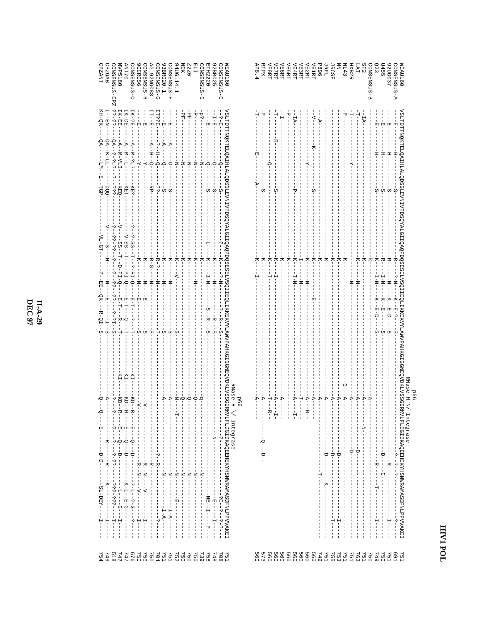| ٣  |    |  |  |
|----|----|--|--|
|    |    |  |  |
| ₹  |    |  |  |
| L. |    |  |  |
|    | ۰  |  |  |
|    | J. |  |  |
|    |    |  |  |
|    |    |  |  |

p66<br>RNase H \/ Integrase

| <b>WEAU160</b>                 |                                                           | VSUTPTINQKKIPITINQKAILELALALADSGLEYNIYLYSQYALGII LAQALESELVSQ II EQLIIKKYYLAWYPAHKGIGGNEQYCHYSSGIRI VSSGIR | KVLFLDG I DKAQE EHEKYH SNWRAMA SDFNLP PVVAKE I<br>V THEATH V |
|--------------------------------|-----------------------------------------------------------|------------------------------------------------------------------------------------------------------------|--------------------------------------------------------------|
| CONSENSUS-C                    |                                                           |                                                                                                            |                                                              |
| 92BR025                        |                                                           |                                                                                                            | ┼┼┼┼┼┼┼┼┸╩┵┼┼┼┼┼┼┼┼┼┼┼┼┼┼┼┼┼╫┼┼┼┼┼╫┼┼┼┼┼┼                    |
| ETH2220                        |                                                           |                                                                                                            |                                                              |
| CONSENSUS-D                    |                                                           | K-----                                                                                                     |                                                              |
| ELI                            |                                                           | - - - - - - - - - - - - - - - - - - -                                                                      | $-6 - -$                                                     |
| 2225                           | - PF - - - - - - - - - - - - - - Z - - -                  |                                                                                                            | $-5 - 0$                                                     |
| NDK                            | - PP - - - - - - - - - - - - - - - 21 - - -               |                                                                                                            | $---0---$                                                    |
| 940G114.1                      |                                                           |                                                                                                            |                                                              |
| GONSENSUS-F                    | - - - - EL- - - - - AL- - - - - O- - - -<br>$-5 - -$      | - - - - - K - - - - - - - Z - - - - -<br>$-8 - -$                                                          | --A---<br>┼┼┼┼┼┼┼┼┼┼┼┼┼┼┼┼┼┼┼┼┼╩┽┼┼┼┼┼┼┼┼┼╫╀╠┵┼┼┼┼┼          |
| 93BR020.1                      | $- - - - - - - -$                                         | - - - - K - - - - - - - Z - - - - -                                                                        | $-1 - 4 - -$                                                 |
| CONSENSUS-G                    | <b>1T3 ?B-----?--H--〇------&gt;?--</b>                    | - - - - - R - ? - - - - - - - - -                                                                          |                                                              |
| AG_92NG083                     |                                                           |                                                                                                            |                                                              |
| <b>CONSENSUS-H</b>             |                                                           |                                                                                                            | ╶╶╶┙┙╸╶╶╶╶╶╶╶╶╶╶╶╶╶╶╶╶╶╶╶╶╶╶┝╋╶╴┻┩╸╴┙┙┙╸╸┙┙╸╸┙┙╸╴╾           |
| 90CR056                        |                                                           |                                                                                                            |                                                              |
| CONSENSUS-C                    |                                                           |                                                                                                            |                                                              |
| <b>ANT70</b>                   | <b>HK-U因-----&gt;--M-- L-------- KET--</b>                |                                                                                                            |                                                              |
| MVP5180                        |                                                           |                                                                                                            | - - KH - - - - - - KD - - -                                  |
| <b>GABZ45</b><br>CONSENSUS-CEZ | H - - ENT - - - - - QA - - K - LT L - - - - - - - DQQ - - |                                                                                                            | $- - - - - - -$<br>$\frac{1}{1}$                             |
| CPZANT                         |                                                           |                                                                                                            |                                                              |